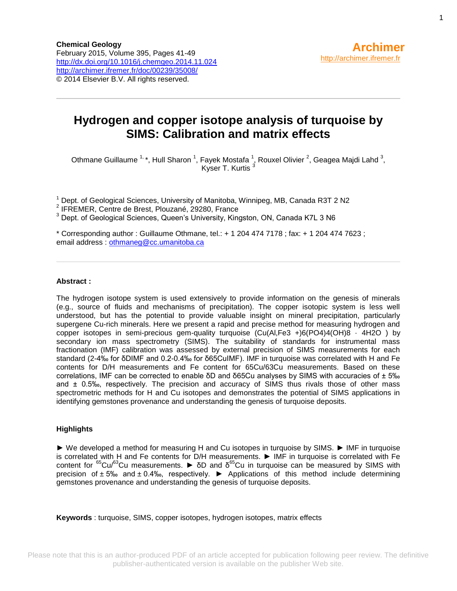#### **Hydrogen and copper isotope analysis of turquoise by SIMS: Calibration and matrix effects**

Othmane Guillaume  $^{1, \, \star}$ , Hull Sharon  $^{1}$ , Fayek Mostafa  $^{1}$ , Rouxel Olivier  $^{2}$ , Geagea Majdi Lahd  $^{3}$ , Kyser T. Kurtis<sup>3</sup>

<sup>1</sup> Dept. of Geological Sciences, University of Manitoba, Winnipeg, MB, Canada R3T 2 N2

- 2 IFREMER, Centre de Brest, Plouzané, 29280, France
- <sup>3</sup> Dept. of Geological Sciences, Queen's University, Kingston, ON, Canada K7L 3 N6

\* Corresponding author : Guillaume Othmane, tel.: + 1 204 474 7178 ; fax: + 1 204 474 7623 ; email address : [othmaneg@cc.umanitoba.ca](mailto:othmaneg@cc.umanitoba.ca)

#### **Abstract :**

The hydrogen isotope system is used extensively to provide information on the genesis of minerals (e.g., source of fluids and mechanisms of precipitation). The copper isotopic system is less well understood, but has the potential to provide valuable insight on mineral precipitation, particularly supergene Cu-rich minerals. Here we present a rapid and precise method for measuring hydrogen and copper isotopes in semi-precious gem-quality turquoise (Cu(Al,Fe3 +)6(PO4)4(OH)8 · 4H2O ) by secondary ion mass spectrometry (SIMS). The suitability of standards for instrumental mass fractionation (IMF) calibration was assessed by external precision of SIMS measurements for each standard (2-4‰ for δDIMF and 0.2-0.4‰ for δ65CuIMF). IMF in turquoise was correlated with H and Fe contents for D/H measurements and Fe content for 65Cu/63Cu measurements. Based on these correlations, IMF can be corrected to enable δD and δ65Cu analyses by SIMS with accuracies of ± 5‰ and  $\pm$  0.5‰, respectively. The precision and accuracy of SIMS thus rivals those of other mass spectrometric methods for H and Cu isotopes and demonstrates the potential of SIMS applications in identifying gemstones provenance and understanding the genesis of turquoise deposits.

#### **Highlights**

► We developed a method for measuring H and Cu isotopes in turquoise by SIMS. ► IMF in turquoise is correlated with H and Fe contents for D/H measurements. ► IMF in turquoise is correlated with Fe content for  ${}^{65}Cu/{}^{63}Cu$  measurements.  $\blacktriangleright$  δD and δ<sup>65</sup>Cu in turquoise can be measured by SIMS with precision of  $\pm 5\%$  and  $\pm 0.4\%$ , respectively.  $\blacktriangleright$  Applications of this method include determining gemstones provenance and understanding the genesis of turquoise deposits.

**Keywords** : turquoise, SIMS, copper isotopes, hydrogen isotopes, matrix effects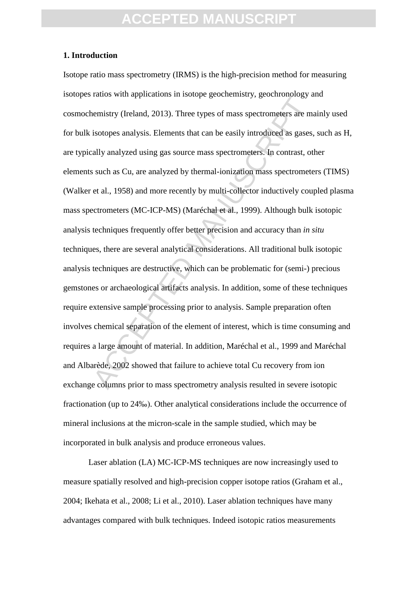#### **1. Introduction**

xano *ma* approarion in sovepe goodnament, goodnament, goodnament and the emistry (Ireland, 2013). Three types of mass spectrometers are misotopes analysis. Elements that can be easily introduced as gases, ally analyzed us Isotope ratio mass spectrometry (IRMS) is the high-precision method for measuring isotopes ratios with applications in isotope geochemistry, geochronology and cosmochemistry (Ireland, 2013). Three types of mass spectrometers are mainly used for bulk isotopes analysis. Elements that can be easily introduced as gases, such as H, are typically analyzed using gas source mass spectrometers. In contrast, other elements such as Cu, are analyzed by thermal-ionization mass spectrometers (TIMS) (Walker et al., 1958) and more recently by multi-collector inductively coupled plasma mass spectrometers (MC-ICP-MS) (Maréchal et al., 1999). Although bulk isotopic analysis techniques frequently offer better precision and accuracy than *in situ* techniques, there are several analytical considerations. All traditional bulk isotopic analysis techniques are destructive, which can be problematic for (semi-) precious gemstones or archaeological artifacts analysis. In addition, some of these techniques require extensive sample processing prior to analysis. Sample preparation often involves chemical separation of the element of interest, which is time consuming and requires a large amount of material. In addition, Maréchal et al., 1999 and Maréchal and Albarède, 2002 showed that failure to achieve total Cu recovery from ion exchange columns prior to mass spectrometry analysis resulted in severe isotopic fractionation (up to 24‰). Other analytical considerations include the occurrence of mineral inclusions at the micron-scale in the sample studied, which may be incorporated in bulk analysis and produce erroneous values.

Laser ablation (LA) MC-ICP-MS techniques are now increasingly used to measure spatially resolved and high-precision copper isotope ratios (Graham et al., 2004; Ikehata et al., 2008; [Li et al., 2010\)](#page-19-0). Laser ablation techniques have many advantages compared with bulk techniques. Indeed isotopic ratios measurements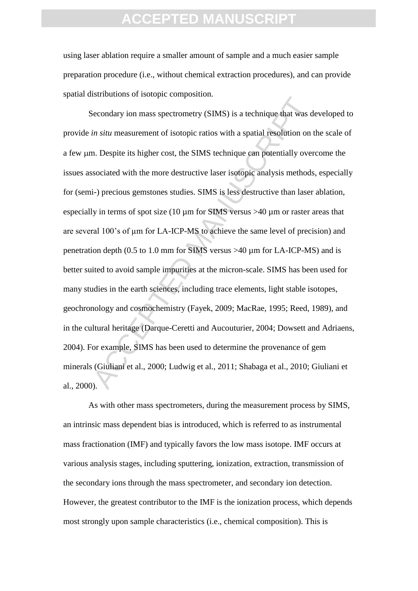using laser ablation require a smaller amount of sample and a much easier sample preparation procedure (i.e., without chemical extraction procedures), and can provide spatial distributions of isotopic composition.

becomed of solety examples and the set of set of set of set of set of set of set of set of set of set of single that was din situ measurement of isotopic ratios with a spatial resolution on in. Despite its higher cost, the Secondary ion mass spectrometry (SIMS) is a technique that was developed to provide *in situ* measurement of isotopic ratios with a spatial resolution on the scale of a few µm. Despite its higher cost, the SIMS technique can potentially overcome the issues associated with the more destructive laser isotopic analysis methods, especially for (semi-) precious gemstones studies. SIMS is less destructive than laser ablation, especially in terms of spot size (10 µm for SIMS versus >40 µm or raster areas that are several 100's of  $\mu$ m for LA-ICP-MS to achieve the same level of precision) and penetration depth (0.5 to 1.0 mm for SIMS versus >40 µm for LA-ICP-MS) and is better suited to avoid sample impurities at the micron-scale. SIMS has been used for many studies in the earth sciences, including trace elements, light stable isotopes, geochronology and cosmochemistry (Fayek, 2009; MacRae, 1995; [Reed, 1989\)](#page-20-0), and in the cultural heritage (Darque-Ceretti and Aucouturier, 2004; [Dowsett and Adriaens,](#page-18-0)  [2004\)](#page-18-0). For example, SIMS has been used to determine the provenance of gem minerals (Giuliani et al., 2000; Ludwig et al., 2011; Shabaga et al., 2010; Giuliani et al., 2000).

As with other mass spectrometers, during the measurement process by SIMS, an intrinsic mass dependent bias is introduced, which is referred to as instrumental mass fractionation (IMF) and typically favors the low mass isotope. IMF occurs at various analysis stages, including sputtering, ionization, extraction, transmission of the secondary ions through the mass spectrometer, and secondary ion detection. However, the greatest contributor to the IMF is the ionization process, which depends most strongly upon sample characteristics (i.e., chemical composition). This is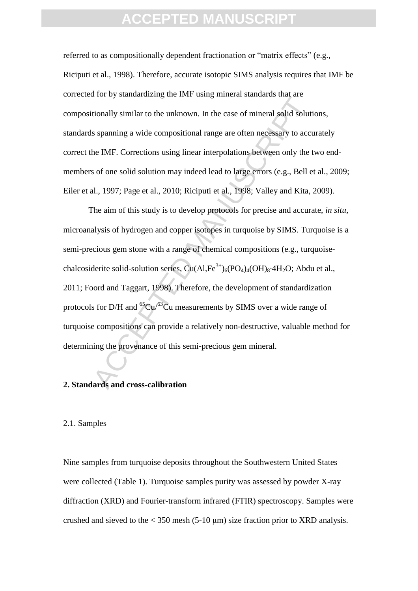referred to as compositionally dependent fractionation or "matrix effects" (e.g., Riciputi et al., 1998). Therefore, accurate isotopic SIMS analysis requires that IMF be corrected for by standardizing the IMF using mineral standards that are compositionally similar to the unknown. In the case of mineral solid solutions, standards spanning a wide compositional range are often necessary to accurately correct the IMF. Corrections using linear interpolations between only the two endmembers of one solid solution may indeed lead to large errors (e.g., Bell et al., 2009; Eiler et al., 1997; Page et al., 2010; Riciputi et al., 1998; Valley and Kita, 2009).

For  $\sigma$  systemation and some semigrantical standards and are<br>tionally similar to the unknown. In the case of mineral solid solution<br>s spanning a wide compositional range are often necessary to accuracy<br>for MF. Correction The aim of this study is to develop protocols for precise and accurate, *in situ,* microanalysis of hydrogen and copper isotopes in turquoise by SIMS. Turquoise is a semi-precious gem stone with a range of chemical compositions (e.g., turquoisechalcosiderite solid-solution series,  $Cu(AI,Fe^{3+})_6(PO_4)_4(OH)_8.4H_2O$ ; Abdu et al., 2011; Foord and Taggart, 1998). Therefore, the development of standardization protocols for D/H and  ${}^{65}Cu/{}^{63}Cu$  measurements by SIMS over a wide range of turquoise compositions can provide a relatively non-destructive, valuable method for determining the provenance of this semi-precious gem mineral.

#### **2. Standards and cross-calibration**

#### 2.1. Samples

Nine samples from turquoise deposits throughout the Southwestern United States were collected (Table 1). Turquoise samples purity was assessed by powder X-ray diffraction (XRD) and Fourier-transform infrared (FTIR) spectroscopy. Samples were crushed and sieved to the  $<$  350 mesh (5-10 µm) size fraction prior to XRD analysis.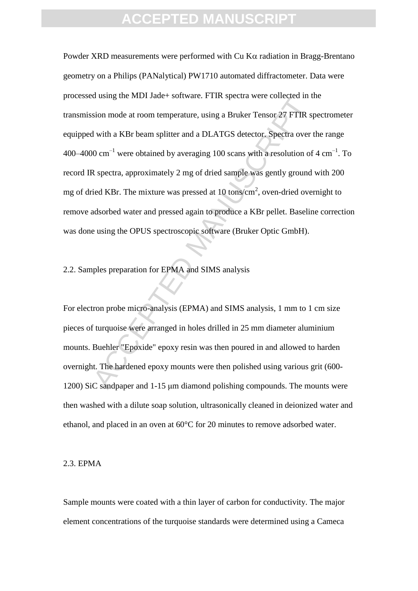ation mode at room temperature, using a Bruker Tensor 27 FTIR spison mode at room temperature, using a Bruker Tensor 27 FTIR spison over with a KBr beam splitter and a DLATGS detector. Spectra over 00 cm<sup>-1</sup> were obtained Powder XRD measurements were performed with  $Cu$  K $\alpha$  radiation in Bragg-Brentano geometry on a Philips (PANalytical) PW1710 automated diffractometer. Data were processed using the MDI Jade+ software. FTIR spectra were collected in the transmission mode at room temperature, using a Bruker Tensor 27 FTIR spectrometer equipped with a KBr beam splitter and a DLATGS detector. Spectra over the range 400–4000 cm<sup>-1</sup> were obtained by averaging 100 scans with a resolution of 4 cm<sup>-1</sup>. To record IR spectra, approximately 2 mg of dried sample was gently ground with 200 mg of dried KBr. The mixture was pressed at 10 tons/cm<sup>2</sup>, oven-dried overnight to remove adsorbed water and pressed again to produce a KBr pellet. Baseline correction was done using the OPUS spectroscopic software (Bruker Optic GmbH).

2.2. Samples preparation for EPMA and SIMS analysis

For electron probe micro-analysis (EPMA) and SIMS analysis, 1 mm to 1 cm size pieces of turquoise were arranged in holes drilled in 25 mm diameter aluminium mounts. Buehler "Epoxide" epoxy resin was then poured in and allowed to harden overnight. The hardened epoxy mounts were then polished using various grit (600- 1200) SiC sandpaper and 1-15 μm diamond polishing compounds. The mounts were then washed with a dilute soap solution, ultrasonically cleaned in deionized water and ethanol, and placed in an oven at 60°C for 20 minutes to remove adsorbed water.

#### 2.3. EPMA

Sample mounts were coated with a thin layer of carbon for conductivity. The major element concentrations of the turquoise standards were determined using a Cameca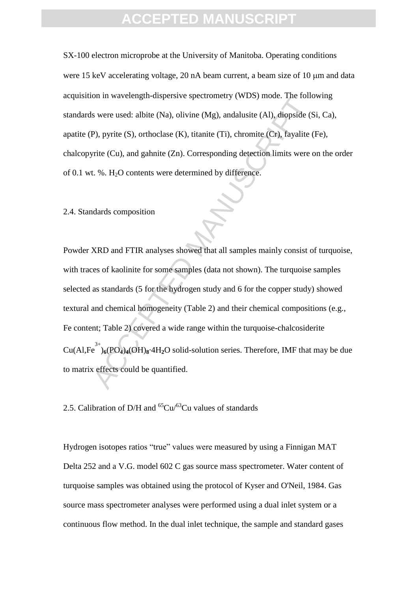SX-100 electron microprobe at the University of Manitoba. Operating conditions were 15 keV accelerating voltage, 20 nA beam current, a beam size of 10  $\mu$ m and data acquisition in wavelength-dispersive spectrometry (WDS) mode. The following standards were used: albite (Na), olivine (Mg), andalusite (Al), diopside (Si, Ca), apatite (P), pyrite (S), orthoclase (K), titanite (Ti), chromite (Cr), fayalite (Fe), chalcopyrite (Cu), and gahnite (Zn). Corresponding detection limits were on the order of 0.1 wt. %.  $H_2O$  contents were determined by difference.

2.4. Standards composition

on in wavelength-uspersive spectrometry (*wDs)* mode. The rolid<br>s were used: albite (Na), olivine (Mg), and<br>alustite (Al), diopside (S<br>P), pyrite (S), orthoclase (K), titanite (Ti), chromite (Cr), fayalite (<br>rite (Cu), an Powder XRD and FTIR analyses showed that all samples mainly consist of turquoise, with traces of kaolinite for some samples (data not shown). The turquoise samples selected as standards (5 for the hydrogen study and 6 for the copper study) showed textural and chemical homogeneity (Table 2) and their chemical compositions (e.g., Fe content; Table 2) covered a wide range within the turquoise-chalcosiderite Cu(Al,Fe 3+ )**6**(PO**4**)**4**(OH)**8**·4H**2**O solid-solution series. Therefore, IMF that may be due to matrix effects could be quantified.

2.5. Calibration of D/H and  ${}^{65}Cu/{}^{63}Cu$  values of standards

Hydrogen isotopes ratios "true" values were measured by using a Finnigan MAT Delta 252 and a V.G. model 602 C gas source mass spectrometer. Water content of turquoise samples was obtained using the protocol of Kyser and O'Neil, 1984. Gas source mass spectrometer analyses were performed using a dual inlet system or a continuous flow method. In the dual inlet technique, the sample and standard gases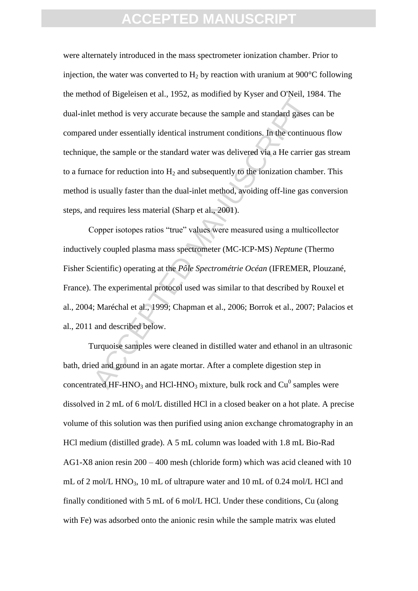Et method is very accurate because the sample and standard gases of under essentially identical instrument conditions. In the continuation during equivalently identical instrument conditions. In the continuation, the samp were alternately introduced in the mass spectrometer ionization chamber. Prior to injection, the water was converted to  $H_2$  by reaction with uranium at 900 $^{\circ}$ C following the method of Bigeleisen et al., 1952, as modified by Kyser and O'Neil, 1984. The dual-inlet method is very accurate because the sample and standard gases can be compared under essentially identical instrument conditions. In the continuous flow technique, the sample or the standard water was delivered via a He carrier gas stream to a furnace for reduction into  $H_2$  and subsequently to the ionization chamber. This method is usually faster than the dual-inlet method, avoiding off-line gas conversion steps, and requires less material (Sharp et al., 2001).

Copper isotopes ratios "true" values were measured using a multicollector inductively coupled plasma mass spectrometer (MC-ICP-MS) *Neptune* (Thermo Fisher Scientific) operating at the *Pôle Spectrométrie Océan* (IFREMER, Plouzané, France). The experimental protocol used was similar to that described by Rouxel et al., 2004; Maréchal et al., 1999; Chapman et al., 2006; Borrok et al., 2007; Palacios et al., 2011 and described below.

Turquoise samples were cleaned in distilled water and ethanol in an ultrasonic bath, dried and ground in an agate mortar. After a complete digestion step in concentrated HF-HNO<sub>3</sub> and HCl-HNO<sub>3</sub> mixture, bulk rock and  $Cu^{0}$  samples were dissolved in 2 mL of 6 mol/L distilled HCl in a closed beaker on a hot plate. A precise volume of this solution was then purified using anion exchange chromatography in an HCl medium (distilled grade). A 5 mL column was loaded with 1.8 mL Bio-Rad AG1-X8 anion resin 200 – 400 mesh (chloride form) which was acid cleaned with 10 mL of 2 mol/L HNO<sub>3</sub>, 10 mL of ultrapure water and 10 mL of 0.24 mol/L HCl and finally conditioned with 5 mL of 6 mol/L HCl. Under these conditions, Cu (along with Fe) was adsorbed onto the anionic resin while the sample matrix was eluted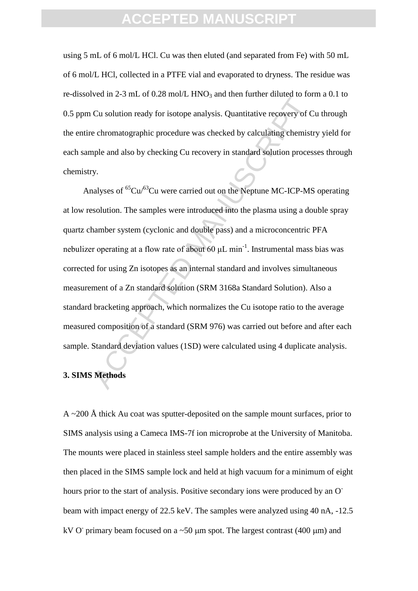using 5 mL of 6 mol/L HCl. Cu was then eluted (and separated from Fe) with 50 mL of 6 mol/L HCl, collected in a PTFE vial and evaporated to dryness. The residue was re-dissolved in 2-3 mL of  $0.28$  mol/L HNO<sub>3</sub> and then further diluted to form a 0.1 to 0.5 ppm Cu solution ready for isotope analysis. Quantitative recovery of Cu through the entire chromatographic procedure was checked by calculating chemistry yield for each sample and also by checking Cu recovery in standard solution processes through chemistry.

Cu solution ready for isotope analysis. Quantitative recovery of C<br>Cu solution ready for isotope analysis. Quantitative recovery of C<br>e chromatographic procedure was checked by calculating chemist<br>uple and also by checkin Analyses of  ${}^{65}Cu/{}^{63}Cu$  were carried out on the Neptune MC-ICP-MS operating at low resolution. The samples were introduced into the plasma using a double spray quartz chamber system (cyclonic and double pass) and a microconcentric PFA nebulizer operating at a flow rate of about 60  $\mu$ L min<sup>-1</sup>. Instrumental mass bias was corrected for using Zn isotopes as an internal standard and involves simultaneous measurement of a Zn standard solution (SRM 3168a Standard Solution). Also a standard bracketing approach, which normalizes the Cu isotope ratio to the average measured composition of a standard (SRM 976) was carried out before and after each sample. Standard deviation values (1SD) were calculated using 4 duplicate analysis.

#### **3. SIMS Methods**

 $A \sim 200$  Å thick Au coat was sputter-deposited on the sample mount surfaces, prior to SIMS analysis using a Cameca IMS-7f ion microprobe at the University of Manitoba. The mounts were placed in stainless steel sample holders and the entire assembly was then placed in the SIMS sample lock and held at high vacuum for a minimum of eight hours prior to the start of analysis. Positive secondary ions were produced by an O<sup>-</sup> beam with impact energy of 22.5 keV. The samples were analyzed using 40 nA, -12.5 kV O primary beam focused on a  $\sim$  50  $\mu$ m spot. The largest contrast (400  $\mu$ m) and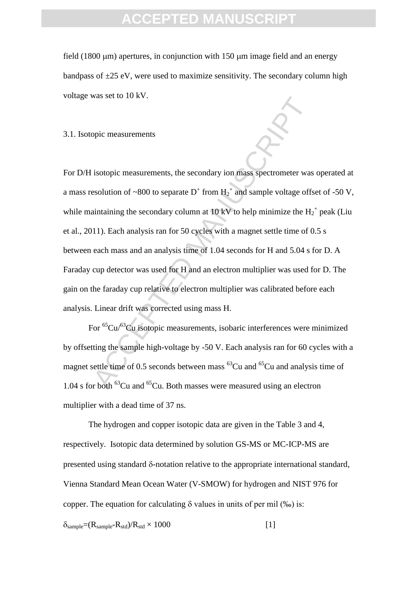field  $(1800 \,\mu m)$  apertures, in conjunction with 150  $\mu$ m image field and an energy bandpass of  $\pm 25$  eV, were used to maximize sensitivity. The secondary column high voltage was set to 10 kV.

3.1. Isotopic measurements

solvential in the secondary ion mass spectrometer was<br>solution of ~800 to separate D<sup>+</sup> from H<sub>2</sub><sup>2</sup> and sample voltage offs<br>aintaining the secondary column at 10 kV to help minimize the H<sub>2</sub><br>111). Each analysis ran for 5 For D/H isotopic measurements, the secondary ion mass spectrometer was operated at a mass resolution of ~800 to separate  $D^+$  from  $H_2^+$  and sample voltage offset of -50 V, while maintaining the secondary column at 10 kV to help minimize the  $H_2^+$  peak (Liu et al., 2011). Each analysis ran for 50 cycles with a magnet settle time of 0.5 s between each mass and an analysis time of 1.04 seconds for H and 5.04 s for D. A Faraday cup detector was used for H and an electron multiplier was used for D. The gain on the faraday cup relative to electron multiplier was calibrated before each analysis. Linear drift was corrected using mass H.

For <sup>65</sup>Cu/<sup>63</sup>Cu isotopic measurements, isobaric interferences were minimized by offsetting the sample high-voltage by -50 V. Each analysis ran for 60 cycles with a magnet settle time of 0.5 seconds between mass  ${}^{63}Cu$  and  ${}^{65}Cu$  and analysis time of 1.04 s for both  ${}^{63}Cu$  and  ${}^{65}Cu$ . Both masses were measured using an electron multiplier with a dead time of 37 ns.

The hydrogen and copper isotopic data are given in the Table 3 and 4, respectively. Isotopic data determined by solution GS-MS or MC-ICP-MS are presented using standard  $\delta$ -notation relative to the appropriate international standard, Vienna Standard Mean Ocean Water (V-SMOW) for hydrogen and NIST 976 for copper. The equation for calculating  $\delta$  values in units of per mil (‰) is:

 $\delta_{sample} = (R_{sample} - R_{std})/R_{std} \times 1000$  [1]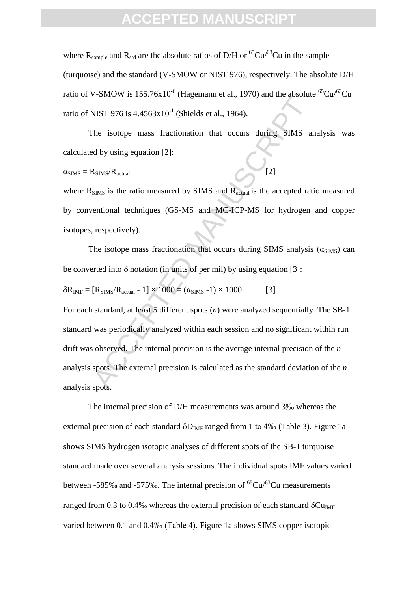### FPTFD MANU

where  $R_{sample}$  and  $R_{std}$  are the absolute ratios of D/H or <sup>65</sup>Cu/<sup>63</sup>Cu in the sample (turquoise) and the standard (V-SMOW or NIST 976), respectively. The absolute D/H ratio of V-SMOW is 155.76x10<sup>-6</sup> (Hagemann et al., 1970) and the absolute <sup>65</sup>Cu/<sup>63</sup>Cu ratio of NIST 976 is  $4.4563x10^{-1}$  (Shields et al., 1964).

The isotope mass fractionation that occurs during SIMS analysis was calculated by using equation [2]:

#### $\alpha_{\text{SIMS}} = R_{\text{SIMS}} / R_{\text{actual}}$

where  $R_{\text{SIMS}}$  is the ratio measured by SIMS and  $R_{\text{actual}}$  is the accepted ratio measured by conventional techniques (GS-MS and MC-ICP-MS for hydrogen and copper isotopes, respectively).

The isotope mass fractionation that occurs during SIMS analysis  $(\alpha_{\text{SIMS}})$  can be converted into  $\delta$  notation (in units of per mil) by using equation [3]:

$$
\delta R_{IMF} = [R_{SIMS}/R_{actual} - 1] \times 1000 = (\alpha_{SIMS} - 1) \times 1000
$$
 [3]

VIST 976 is 4.4563x10<sup>-1</sup> (Shields et al., 1964).<br>
TRIST 976 is 4.4563x10<sup>-1</sup> (Shields et al., 1964).<br>
The isotope mass fractionation that occurs during SIMS and dby using equation [2]:<br>  $R_{\text{SIMS}}/R_{\text{actual}}$  [2]<br>
SMS is th For each standard, at least 5 different spots (*n*) were analyzed sequentially. The SB-1 standard was periodically analyzed within each session and no significant within run drift was observed. The internal precision is the average internal precision of the *n* analysis spots. The external precision is calculated as the standard deviation of the *n* analysis spots.

The internal precision of D/H measurements was around 3‰ whereas the external precision of each standard  $\delta D_{IMF}$  ranged from 1 to 4‰ (Table 3). Figure 1a shows SIMS hydrogen isotopic analyses of different spots of the SB-1 turquoise standard made over several analysis sessions. The individual spots IMF values varied between -585‰ and -575‰. The internal precision of  ${}^{65}Cu/{}^{63}Cu$  measurements ranged from 0.3 to 0.4‰ whereas the external precision of each standard  $\delta Cu_{IMF}$ varied between 0.1 and 0.4‰ (Table 4). Figure 1a shows SIMS copper isotopic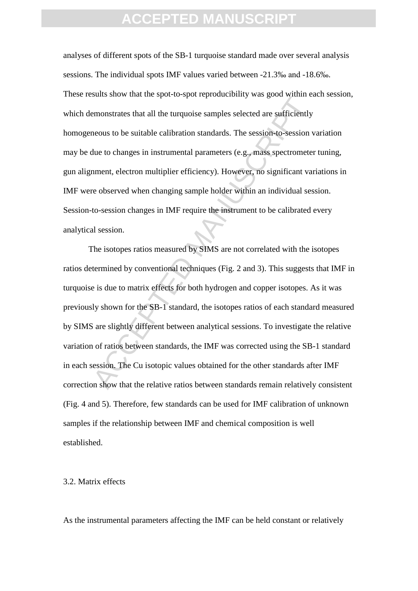analyses of different spots of the SB-1 turquoise standard made over several analysis sessions. The individual spots IMF values varied between -21.3‰ and -18.6‰. These results show that the spot-to-spot reproducibility was good within each session, which demonstrates that all the turquoise samples selected are sufficiently homogeneous to be suitable calibration standards. The session-to-session variation may be due to changes in instrumental parameters (e.g., mass spectrometer tuning, gun alignment, electron multiplier efficiency). However, no significant variations in IMF were observed when changing sample holder within an individual session. Session-to-session changes in IMF require the instrument to be calibrated every analytical session.

Example show that the epot to epot tepperatefolding whis good studies.<br>
Heromonstrates that all the turquoise samples selected are sufficiently<br>
neous to be suitable calibration standards. The session-to-session v<br>
due to The isotopes ratios measured by SIMS are not correlated with the isotopes ratios determined by conventional techniques (Fig. 2 and 3). This suggests that IMF in turquoise is due to matrix effects for both hydrogen and copper isotopes. As it was previously shown for the SB-1 standard, the isotopes ratios of each standard measured by SIMS are slightly different between analytical sessions. To investigate the relative variation of ratios between standards, the IMF was corrected using the SB-1 standard in each session. The Cu isotopic values obtained for the other standards after IMF correction show that the relative ratios between standards remain relatively consistent (Fig. 4 and 5). Therefore, few standards can be used for IMF calibration of unknown samples if the relationship between IMF and chemical composition is well established.

#### 3.2. Matrix effects

As the instrumental parameters affecting the IMF can be held constant or relatively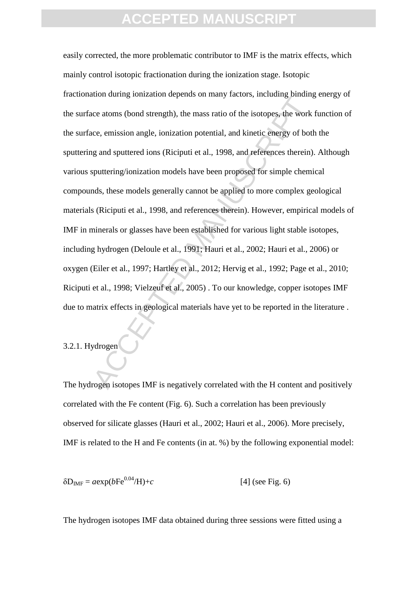action stands of periods of a family attention subset, interting cannot<br>ce atoms (bond strength), the mass ratio of the isotopes, the work<br>ce, emission angle, ionization potential, and kinetic energy of both<br>g and sputteri easily corrected, the more problematic contributor to IMF is the matrix effects, which mainly control isotopic fractionation during the ionization stage. Isotopic fractionation during ionization depends on many factors, including binding energy of the surface atoms (bond strength), the mass ratio of the isotopes, the work function of the surface, emission angle, ionization potential, and kinetic energy of both the sputtering and sputtered ions (Riciputi et al., 1998, and references therein). Although various sputtering/ionization models have been proposed for simple chemical compounds, these models generally cannot be applied to more complex geological materials (Riciputi et al., 1998, and references therein). However, empirical models of IMF in minerals or glasses have been established for various light stable isotopes, including hydrogen (Deloule et al., 1991; Hauri et al., 2002; Hauri et al., 2006) or oxygen (Eiler et al., 1997; Hartley et al., 2012; Hervig et al., 1992; Page et al., 2010; Riciputi et al., 1998; Vielzeuf et al., 2005) . To our knowledge, copper isotopes IMF due to matrix effects in geological materials have yet to be reported in the literature .

#### 3.2.1. Hydrogen

The hydrogen isotopes IMF is negatively correlated with the H content and positively correlated with the Fe content (Fig. 6). Such a correlation has been previously observed for silicate glasses (Hauri et al., 2002; [Hauri et al., 2006\)](#page-18-2). More precisely, IMF is related to the H and Fe contents (in at. %) by the following exponential model:

$$
\delta D_{IMF} = a \exp(b F e^{0.04} / H) + c \tag{4} \text{ (see Fig. 6)}
$$

The hydrogen isotopes IMF data obtained during three sessions were fitted using a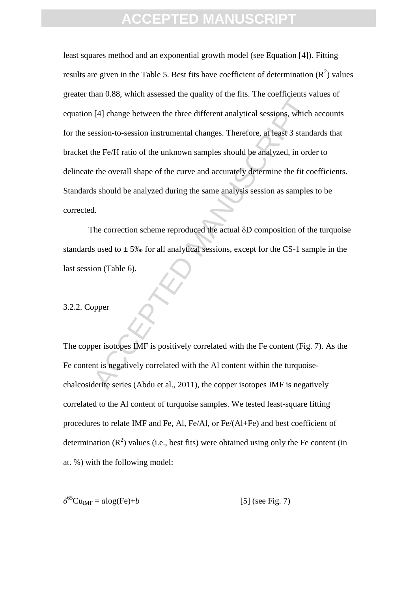(41) change between the three different analytical sessions, which<br>
(4) change between the three different analytical sessions, which<br>
ession-to-session instrumental changes. Therefore, at least 3 stand<br>
the Fe/H ratio of least squares method and an exponential growth model (see Equation [4]). Fitting results are given in the Table 5. Best fits have coefficient of determination  $(R^2)$  values greater than 0.88, which assessed the quality of the fits. The coefficients values of equation [4] change between the three different analytical sessions, which accounts for the session-to-session instrumental changes. Therefore, at least 3 standards that bracket the Fe/H ratio of the unknown samples should be analyzed, in order to delineate the overall shape of the curve and accurately determine the fit coefficients. Standards should be analyzed during the same analysis session as samples to be corrected.

The correction scheme reproduced the actual δD composition of the turquoise standards used to  $\pm$  5‰ for all analytical sessions, except for the CS-1 sample in the last session (Table 6).

#### 3.2.2. Copper

The copper isotopes IMF is positively correlated with the Fe content (Fig. 7). As the Fe content is negatively correlated with the Al content within the turquoisechalcosiderite series (Abdu et al., 2011), the copper isotopes IMF is negatively correlated to the Al content of turquoise samples. We tested least-square fitting procedures to relate IMF and Fe, Al, Fe/Al, or Fe/(Al+Fe) and best coefficient of determination  $(R^2)$  values (i.e., best fits) were obtained using only the Fe content (in at. %) with the following model:

$$
\delta^{65}Cu_{IMF} = a\log(Fe) + b \tag{5} \text{ (see Fig. 7)}
$$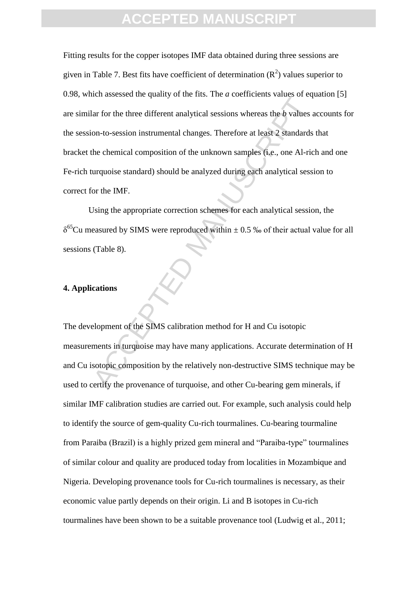Early formed and the three coefficients has a sequence of equals on-to-session instrumental changes. Therefore at least 2 standards<br>the chemical composition of the unknown samples (i.e., one Al-ric<br>urquoise standard) shou Fitting results for the copper isotopes IMF data obtained during three sessions are given in Table 7. Best fits have coefficient of determination  $(R^2)$  values superior to 0.98, which assessed the quality of the fits. The *a* coefficients values of equation [5] are similar for the three different analytical sessions whereas the *b* values accounts for the session-to-session instrumental changes. Therefore at least 2 standards that bracket the chemical composition of the unknown samples (i.e., one Al-rich and one Fe-rich turquoise standard) should be analyzed during each analytical session to correct for the IMF.

Using the appropriate correction schemes for each analytical session, the  $\delta^{65}$ Cu measured by SIMS were reproduced within  $\pm$  0.5 ‰ of their actual value for all sessions (Table 8).

#### **4. Applications**

The development of the SIMS calibration method for H and Cu isotopic measurements in turquoise may have many applications. Accurate determination of H and Cu isotopic composition by the relatively non-destructive SIMS technique may be used to certify the provenance of turquoise, and other Cu-bearing gem minerals, if similar IMF calibration studies are carried out. For example, such analysis could help to identify the source of gem-quality Cu-rich tourmalines. Cu-bearing tourmaline from Paraiba (Brazil) is a highly prized gem mineral and "Paraiba-type" tourmalines of similar colour and quality are produced today from localities in Mozambique and Nigeria. Developing provenance tools for Cu-rich tourmalines is necessary, as their economic value partly depends on their origin. Li and B isotopes in Cu-rich tourmalines have been shown to be a suitable provenance tool (Ludwig et al., 2011;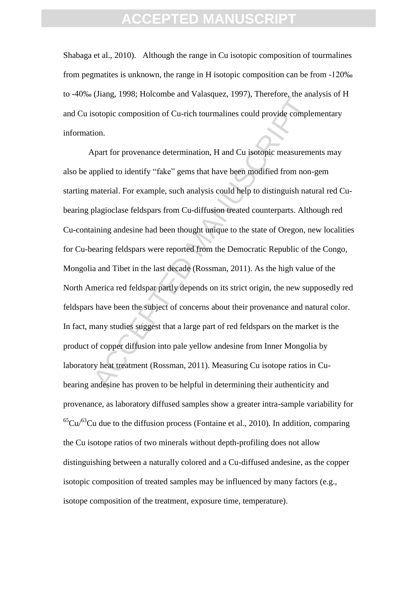[Shabaga et al., 2010\)](#page-20-1). Although the range in Cu isotopic composition of tourmalines from pegmatites is unknown, the range in H isotopic composition can be from -120‰ to -40‰ (Jiang, 1998; Holcombe and Valasquez, 1997), Therefore, the analysis of H and Cu isotopic composition of Cu-rich tourmalines could provide complementary information.

Example the state of currich tournalines could provide comple-<br>
Apart for provenance determination, H and Cu isotopic measureme<br>
Apart for provenance determination, H and Cu isotopic measureme<br>
applied to identify "fake" g Apart for provenance determination, H and Cu isotopic measurements may also be applied to identify "fake" gems that have been modified from non-gem starting material. For example, such analysis could help to distinguish natural red Cubearing plagioclase feldspars from Cu-diffusion treated counterparts. Although red Cu-containing andesine had been thought unique to the state of Oregon, new localities for Cu-bearing feldspars were reported from the Democratic Republic of the Congo, Mongolia and Tibet in the last decade (Rossman, 2011). As the high value of the North America red feldspar partly depends on its strict origin, the new supposedly red feldspars have been the subject of concerns about their provenance and natural color. In fact, many studies suggest that a large part of red feldspars on the market is the product of copper diffusion into pale yellow andesine from Inner Mongolia by laboratory heat treatment (Rossman, 2011). Measuring Cu isotope ratios in Cubearing andesine has proven to be helpful in determining their authenticity and provenance, as laboratory diffused samples show a greater intra-sample variability for  ${}^{65}Cu$ <sup>65</sup>Cu due to the diffusion process (Fontaine et al., 2010). In addition, comparing the Cu isotope ratios of two minerals without depth-profiling does not allow distinguishing between a naturally colored and a Cu-diffused andesine, as the copper isotopic composition of treated samples may be influenced by many factors (e.g., isotope composition of the treatment, exposure time, temperature).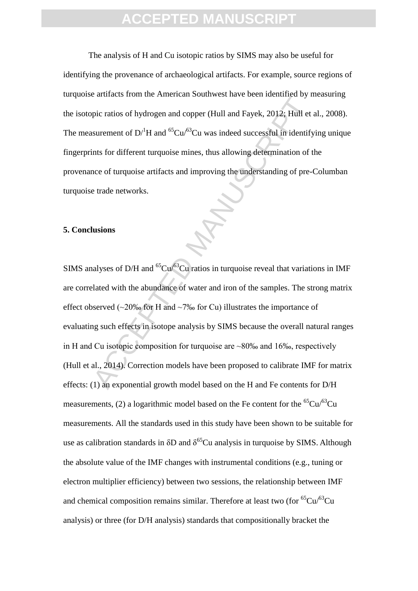The analysis of H and Cu isotopic ratios by SIMS may also be useful for identifying the provenance of archaeological artifacts. For example, source regions of turquoise artifacts from the American Southwest have been identified by measuring the isotopic ratios of hydrogen and copper (Hull and Fayek, 2012; [Hull et al., 2008\)](#page-19-1). The measurement of  $D^1H$  and <sup>65</sup>Cu/<sup>63</sup>Cu was indeed successful in identifying unique fingerprints for different turquoise mines, thus allowing determination of the provenance of turquoise artifacts and improving the understanding of pre-Columban turquoise trade networks.

#### **5. Conclusions**

be cannot for the contract of the contract of the contract of D/<sup>1</sup>H and <sup>65</sup>Cu/<sup>63</sup>Cu was indeed successful in identify<br>that is for different turquoise mines, thus allowing determination of t<br>note of turquoise artifacts SIMS analyses of D/H and  ${}^{65}Cu/{}^{63}Cu$  ratios in turquoise reveal that variations in IMF are correlated with the abundance of water and iron of the samples. The strong matrix effect observed (~20‰ for H and ~7‰ for Cu) illustrates the importance of evaluating such effects in isotope analysis by SIMS because the overall natural ranges in H and Cu isotopic composition for turquoise are  $\sim 80\%$  and 16‰, respectively (Hull et al., 2014). Correction models have been proposed to calibrate IMF for matrix effects: (1) an exponential growth model based on the H and Fe contents for D/H measurements, (2) a logarithmic model based on the Fe content for the  ${}^{65}Cu$ <sup> ${}^{63}Cu$ </sup> measurements. All the standards used in this study have been shown to be suitable for use as calibration standards in  $\delta D$  and  $\delta^{65}$ Cu analysis in turquoise by SIMS. Although the absolute value of the IMF changes with instrumental conditions (e.g., tuning or electron multiplier efficiency) between two sessions, the relationship between IMF and chemical composition remains similar. Therefore at least two (for  ${}^{65}Cu$  $/{}^{63}Cu$ analysis) or three (for D/H analysis) standards that compositionally bracket the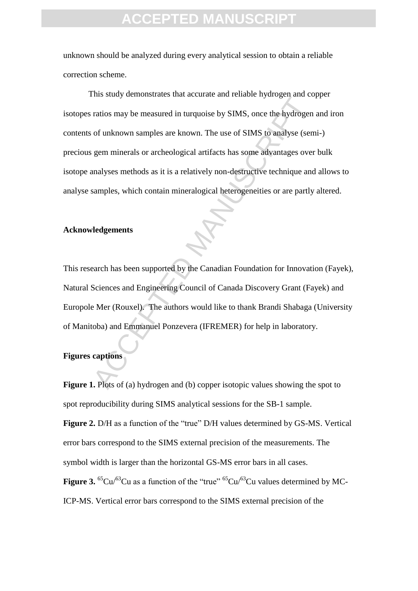unknown should be analyzed during every analytical session to obtain a reliable correction scheme.

The state) demandated and absented the schedule system and consideration and process.<br>The ratios may be measured in turquoise by SIMS, once the hydrogen<br>of unknown samples are known. The use of SIMS to analyse (sen<br>gem min This study demonstrates that accurate and reliable hydrogen and copper isotopes ratios may be measured in turquoise by SIMS, once the hydrogen and iron contents of unknown samples are known. The use of SIMS to analyse (semi-) precious gem minerals or archeological artifacts has some advantages over bulk isotope analyses methods as it is a relatively non-destructive technique and allows to analyse samples, which contain mineralogical heterogeneities or are partly altered.

#### **Acknowledgements**

This research has been supported by the Canadian Foundation for Innovation (Fayek), Natural Sciences and Engineering Council of Canada Discovery Grant (Fayek) and Europole Mer (Rouxel). The authors would like to thank Brandi Shabaga (University of Manitoba) and Emmanuel Ponzevera (IFREMER) for help in laboratory.

#### **Figures captions**

**Figure 1.** Plots of (a) hydrogen and (b) copper isotopic values showing the spot to spot reproducibility during SIMS analytical sessions for the SB-1 sample. **Figure 2.** D/H as a function of the "true" D/H values determined by GS-MS. Vertical error bars correspond to the SIMS external precision of the measurements. The symbol width is larger than the horizontal GS-MS error bars in all cases. **Figure 3.**  ${}^{65}Cu/{}^{63}Cu$  as a function of the "true"  ${}^{65}Cu/{}^{63}Cu$  values determined by MC-ICP-MS. Vertical error bars correspond to the SIMS external precision of the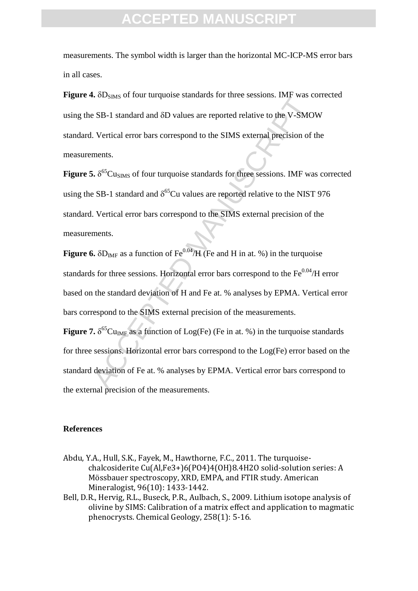measurements. The symbol width is larger than the horizontal MC-ICP-MS error bars in all cases.

**Figure 4.**  $\delta D_{\text{SIMS}}$  of four turquoise standards for three sessions. IMF was corrected using the SB-1 standard and  $\delta$ D values are reported relative to the V-SMOW standard. Vertical error bars correspond to the SIMS external precision of the measurements.

ACCENTE OF THE MANUSCRIPT THE SERVICE SERVICE SERVICE SERVICE OF SERVICE OF SAMPLE USE SERVICE USING UNITED.<br>
SERVICE USING of four turquoise standards for three sessions. IMF was corrected relative to the V-SMO<br>
SER-1 st **Figure 5.** δ<sup>65</sup>Cu<sub>SIMS</sub> of four turquoise standards for three sessions. IMF was corrected using the SB-1 standard and  $\delta^{65}$ Cu values are reported relative to the NIST 976 standard. Vertical error bars correspond to the SIMS external precision of the measurements.

**Figure 6.**  $\delta D_{IMF}$  as a function of  $Fe^{0.04}/H$  (Fe and H in at. %) in the turquoise standards for three sessions. Horizontal error bars correspond to the  $Fe^{0.04}/H$  error based on the standard deviation of H and Fe at. % analyses by EPMA. Vertical error bars correspond to the SIMS external precision of the measurements.

**Figure 7.**  $\delta^{65}$ Cu<sub>IMF</sub> as a function of Log(Fe) (Fe in at. %) in the turquoise standards for three sessions. Horizontal error bars correspond to the Log(Fe) error based on the standard deviation of Fe at. % analyses by EPMA. Vertical error bars correspond to the external precision of the measurements.

#### **References**

- Abdu, Y.A., Hull, S.K., Fayek, M., Hawthorne, F.C., 2011. The turquoisechalcosiderite Cu(Al,Fe3+)6(PO4)4(OH)8.4H2O solid-solution series: A Mössbauer spectroscopy, XRD, EMPA, and FTIR study. American Mineralogist, 96(10): 1433-1442.
- Bell, D.R., Hervig, R.L., Buseck, P.R., Aulbach, S., 2009. Lithium isotope analysis of olivine by SIMS: Calibration of a matrix effect and application to magmatic phenocrysts. Chemical Geology, 258(1): 5-16.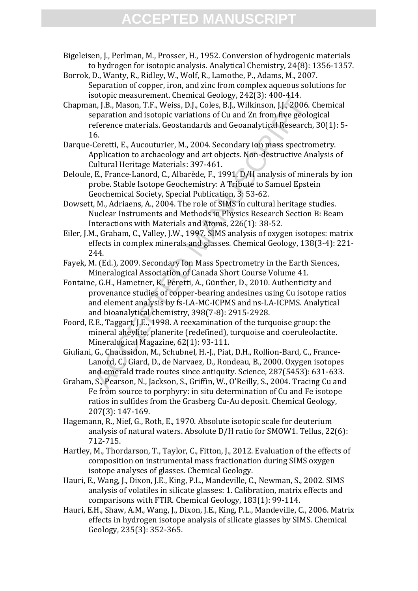- Bigeleisen, J., Perlman, M., Prosser, H., 1952. Conversion of hydrogenic materials to hydrogen for isotopic analysis. Analytical Chemistry, 24(8): 1356-1357.
- Borrok, D., Wanty, R., Ridley, W., Wolf, R., Lamothe, P., Adams, M., 2007. Separation of copper, iron, and zinc from complex aqueous solutions for isotopic measurement. Chemical Geology, 242(3): 400-414.
- Source measurement current and consign, 2-Fe(1). Too-F1T-0.<br>In, J.B., Mason, T.F., Weiss, D.J., Coles, B.J., Vilkinson, J.J., 2006.<br>
eparation and isotopic variations of Cu and Zn from five geolo<br>
eparation and isotopic va Chapman, J.B., Mason, T.F., Weiss, D.J., Coles, B.J., Wilkinson, J.J., 2006. Chemical separation and isotopic variations of Cu and Zn from five geological reference materials. Geostandards and Geoanalytical Research, 30(1): 5- 16.
- Darque-Ceretti, E., Aucouturier, M., 2004. Secondary ion mass spectrometry. Application to archaeology and art objects. Non-destructive Analysis of Cultural Heritage Materials: 397-461.
- Deloule, E., France-Lanord, C., Albarède, F., 1991. D/H analysis of minerals by ion probe. Stable Isotope Geochemistry: A Tribute to Samuel Epstein Geochemical Society, Special Publication, 3: 53-62.
- <span id="page-18-0"></span>Dowsett, M., Adriaens, A., 2004. The role of SIMS in cultural heritage studies. Nuclear Instruments and Methods in Physics Research Section B: Beam Interactions with Materials and Atoms, 226(1): 38-52.
- Eiler, J.M., Graham, C., Valley, J.W., 1997. SIMS analysis of oxygen isotopes: matrix effects in complex minerals and glasses. Chemical Geology, 138(3-4): 221- 244.
- Fayek, M. (Ed.), 2009. Secondary Ion Mass Spectrometry in the Earth Siences, Mineralogical Association of Canada Short Course Volume 41.
- Fontaine, G.H., Hametner, K., Peretti, A., Günther, D., 2010. Authenticity and provenance studies of copper-bearing andesines using Cu isotope ratios and element analysis by fs-LA-MC-ICPMS and ns-LA-ICPMS. Analytical and bioanalytical chemistry, 398(7-8): 2915-2928.
- <span id="page-18-1"></span>Foord, E.E., Taggart, J.E., 1998. A reexamination of the turquoise group: the mineral aheylite, planerite (redefined), turquoise and coeruleolactite. Mineralogical Magazine, 62(1): 93-111.
- Giuliani, G., Chaussidon, M., Schubnel, H.-J., Piat, D.H., Rollion-Bard, C., France-Lanord, C., Giard, D., de Narvaez, D., Rondeau, B., 2000. Oxygen isotopes and emerald trade routes since antiquity. Science, 287(5453): 631-633.
- Graham, S., Pearson, N., Jackson, S., Griffin, W., O'Reilly, S., 2004. Tracing Cu and Fe from source to porphyry: in situ determination of Cu and Fe isotope ratios in sulfides from the Grasberg Cu-Au deposit. Chemical Geology, 207(3): 147-169.
- Hagemann, R., Nief, G., Roth, E., 1970. Absolute isotopic scale for deuterium analysis of natural waters. Absolute D/H ratio for SMOW1. Tellus, 22(6): 712-715.
- Hartley, M., Thordarson, T., Taylor, C., Fitton, J., 2012. Evaluation of the effects of composition on instrumental mass fractionation during SIMS oxygen isotope analyses of glasses. Chemical Geology.
- Hauri, E., Wang, J., Dixon, J.E., King, P.L., Mandeville, C., Newman, S., 2002. SIMS analysis of volatiles in silicate glasses: 1. Calibration, matrix effects and comparisons with FTIR. Chemical Geology, 183(1): 99-114.
- <span id="page-18-2"></span>Hauri, E.H., Shaw, A.M., Wang, J., Dixon, J.E., King, P.L., Mandeville, C., 2006. Matrix effects in hydrogen isotope analysis of silicate glasses by SIMS. Chemical Geology, 235(3): 352-365.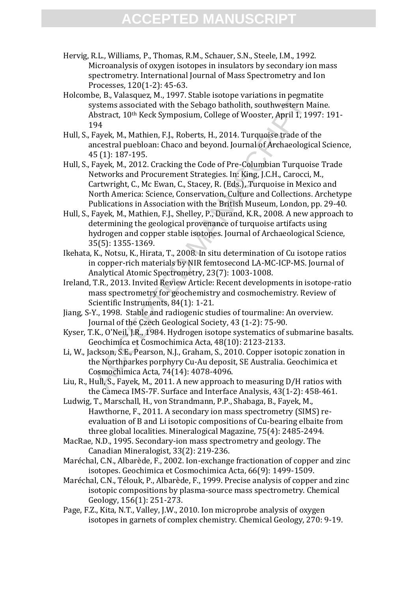- Hervig, R.L., Williams, P., Thomas, R.M., Schauer, S.N., Steele, I.M., 1992. Microanalysis of oxygen isotopes in insulators by secondary ion mass spectrometry. International Journal of Mass Spectrometry and Ion Processes, 120(1-2): 45-63.
- Holcombe, B., Valasquez, M., 1997. Stable isotope variations in pegmatite systems associated with the Sebago batholith, southwestern Maine. Abstract, 10th Keck Symposium, College of Wooster, April 1, 1997: 191- 194
- Hull, S., Fayek, M., Mathien, F.J., Roberts, H., 2014. Turquoise trade of the ancestral puebloan: Chaco and beyond. Journal of Archaeological Science, 45 (1): 187-195.
- ee, b., varasquer, n., 1991. State State State State State State State State State State States associated with the Sebago batholith, southwestern Ministract, 10<sup>th</sup> Keck Symposium, College of Wooster, April 1, 19<br>94<br>Apple Hull, S., Fayek, M., 2012. Cracking the Code of Pre-Columbian Turquoise Trade Networks and Procurement Strategies. In: King, J.C.H., Carocci, M., Cartwright, C., Mc Ewan, C., Stacey, R. (Eds.), Turquoise in Mexico and North America: Science, Conservation, Culture and Collections. Archetype Publications in Association with the British Museum, London, pp. 29-40.
- <span id="page-19-1"></span>Hull, S., Fayek, M., Mathien, F.J., Shelley, P., Durand, K.R., 2008. A new approach to determining the geological provenance of turquoise artifacts using hydrogen and copper stable isotopes. Journal of Archaeological Science, 35(5): 1355-1369.
- Ikehata, K., Notsu, K., Hirata, T., 2008. In situ determination of Cu isotope ratios in copper-rich materials by NIR femtosecond LA-MC-ICP-MS. Journal of Analytical Atomic Spectrometry, 23(7): 1003-1008.
- Ireland, T.R., 2013. Invited Review Article: Recent developments in isotope-ratio mass spectrometry for geochemistry and cosmochemistry. Review of Scientific Instruments, 84(1): 1-21.
- Jiang, S-Y., 1998. Stable and radiogenic studies of tourmaline: An overview. Journal of the Czech Geological Society, 43 (1-2): 75-90.
- Kyser, T.K., O'Neil, J.R., 1984. Hydrogen isotope systematics of submarine basalts. Geochimica et Cosmochimica Acta, 48(10): 2123-2133.
- <span id="page-19-0"></span>Li, W., Jackson, S.E., Pearson, N.J., Graham, S., 2010. Copper isotopic zonation in the Northparkes porphyry Cu-Au deposit, SE Australia. Geochimica et Cosmochimica Acta, 74(14): 4078-4096.
- Liu, R., Hull, S., Fayek, M., 2011. A new approach to measuring D/H ratios with the Cameca IMS-7F. Surface and Interface Analysis, 43(1-2): 458-461.
- Ludwig, T., Marschall, H., von Strandmann, P.P., Shabaga, B., Fayek, M., Hawthorne, F., 2011. A secondary ion mass spectrometry (SIMS) reevaluation of B and Li isotopic compositions of Cu-bearing elbaite from three global localities. Mineralogical Magazine, 75(4): 2485-2494.
- MacRae, N.D., 1995. Secondary-ion mass spectrometry and geology. The Canadian Mineralogist, 33(2): 219-236.
- Maréchal, C.N., Albarède, F., 2002. Ion-exchange fractionation of copper and zinc isotopes. Geochimica et Cosmochimica Acta, 66(9): 1499-1509.
- Maréchal, C.N., Télouk, P., Albarède, F., 1999. Precise analysis of copper and zinc isotopic compositions by plasma-source mass spectrometry. Chemical Geology, 156(1): 251-273.
- Page, F.Z., Kita, N.T., Valley, J.W., 2010. Ion microprobe analysis of oxygen isotopes in garnets of complex chemistry. Chemical Geology, 270: 9-19.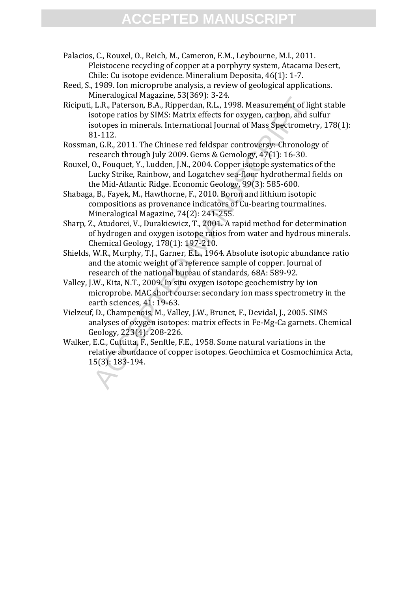Palacios, C., Rouxel, O., Reich, M., Cameron, E.M., Leybourne, M.I., 2011. Pleistocene recycling of copper at a porphyry system, Atacama Desert, Chile: Cu isotope evidence. Mineralium Deposita, 46(1): 1-7.

- <span id="page-20-0"></span>Reed, S., 1989. Ion microprobe analysis, a review of geological applications. Mineralogical Magazine, 53(369): 3-24.
- meranogical Magname, 53(1007): -52+1.<br>
L.R., Paterson, B.A., Ripperdan, R.L., 1998. Measurement of ligstope ratios by SIMS: Matrix effects for oxygen, carbon, and s<br>
stotope ratios by SIMS: Matrix effects for oxygen, carbo Riciputi, L.R., Paterson, B.A., Ripperdan, R.L., 1998. Measurement of light stable isotope ratios by SIMS: Matrix effects for oxygen, carbon, and sulfur isotopes in minerals. International Journal of Mass Spectrometry, 178(1): 81-112.
- Rossman, G.R., 2011. The Chinese red feldspar controversy: Chronology of research through July 2009. Gems & Gemology, 47(1): 16-30.
- Rouxel, O., Fouquet, Y., Ludden, J.N., 2004. Copper isotope systematics of the Lucky Strike, Rainbow, and Logatchev sea-floor hydrothermal fields on the Mid-Atlantic Ridge. Economic Geology, 99(3): 585-600.
- <span id="page-20-1"></span>Shabaga, B., Fayek, M., Hawthorne, F., 2010. Boron and lithium isotopic compositions as provenance indicators of Cu-bearing tourmalines. Mineralogical Magazine, 74(2): 241-255.
- Sharp, Z., Atudorei, V., Durakiewicz, T., 2001. A rapid method for determination of hydrogen and oxygen isotope ratios from water and hydrous minerals. Chemical Geology, 178(1): 197-210.
- Shields, W.R., Murphy, T.J., Garner, E.L., 1964. Absolute isotopic abundance ratio and the atomic weight of a reference sample of copper. Journal of research of the national bureau of standards, 68A: 589-92.
- <span id="page-20-2"></span>Valley, J.W., Kita, N.T., 2009. In situ oxygen isotope geochemistry by ion microprobe. MAC short course: secondary ion mass spectrometry in the earth sciences, 41: 19-63.
- <span id="page-20-3"></span>Vielzeuf, D., Champenois, M., Valley, J.W., Brunet, F., Devidal, J., 2005. SIMS analyses of oxygen isotopes: matrix effects in Fe-Mg-Ca garnets. Chemical Geology, 223(4): 208-226.
- Walker, E.C., Cuttitta, F., Senftle, F.E., 1958. Some natural variations in the relative abundance of copper isotopes. Geochimica et Cosmochimica Acta, 15(3): 183-194.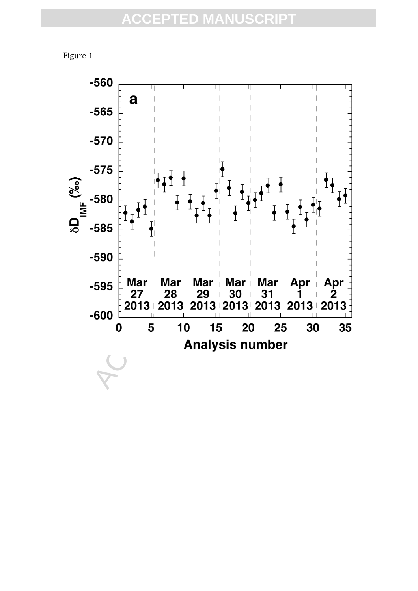

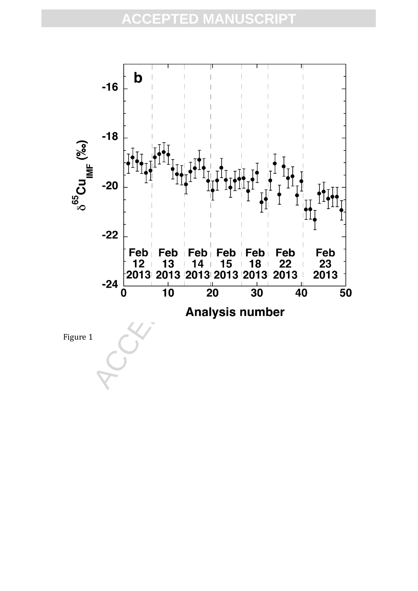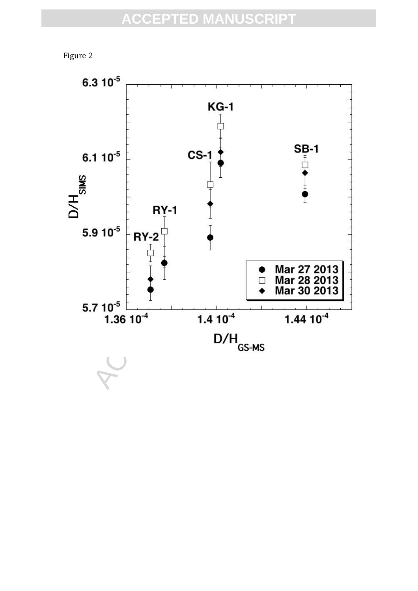

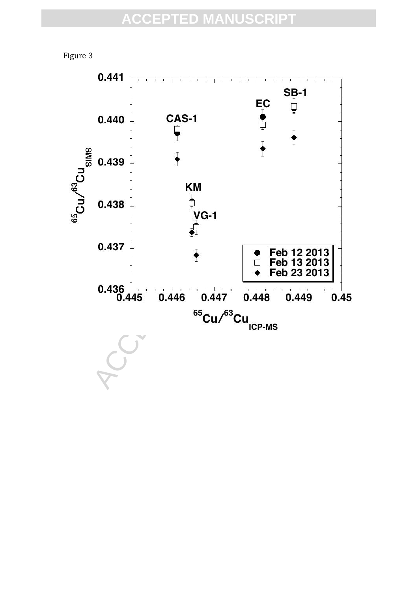

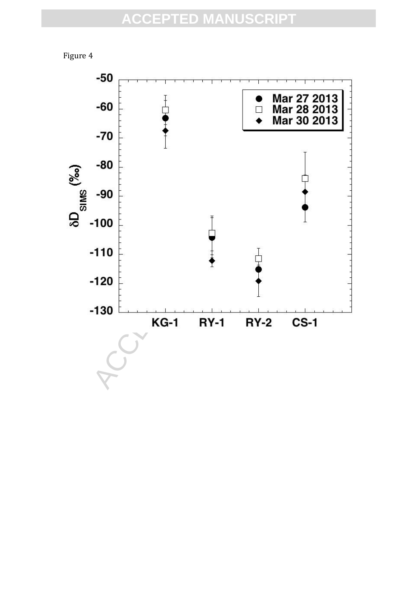

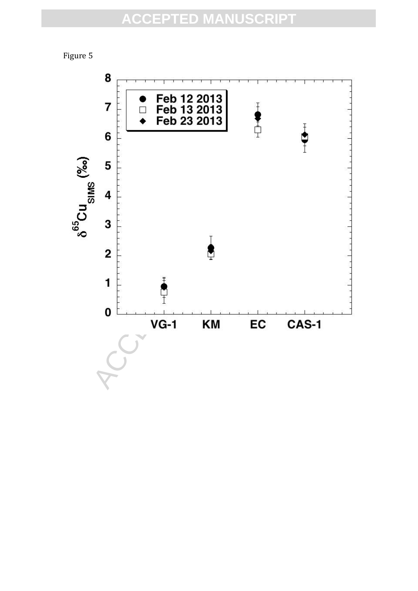

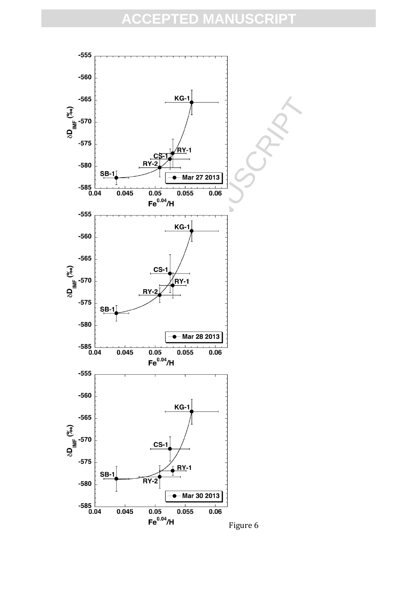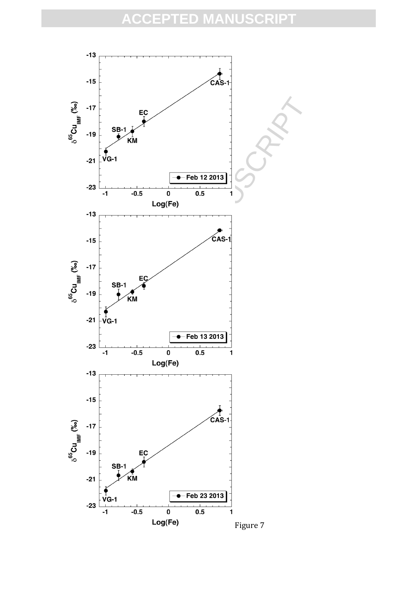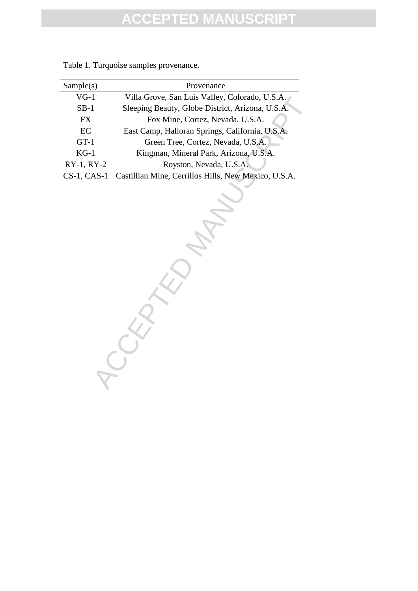| Sample(s)      | Provenance                                           |
|----------------|------------------------------------------------------|
| $VG-1$         | Villa Grove, San Luis Valley, Colorado, U.S.A.       |
| $SB-1$         | Sleeping Beauty, Globe District, Arizona, U.S.A.     |
| <b>FX</b>      | Fox Mine, Cortez, Nevada, U.S.A.                     |
| EC             | East Camp, Halloran Springs, California, U.S.A.      |
| $GT-1$         | Green Tree, Cortez, Nevada, U.S.A.                   |
| $KG-1$         | Kingman, Mineral Park, Arizona, U.S.A.               |
| $RY-1, RY-2$   | Royston, Nevada, U.S.A.                              |
| $CS-1$ , CAS-1 | Castillian Mine, Cerrillos Hills, New Mexico, U.S.A. |

Table 1. Turquoise samples provenance.

Villa Grove, San Luis Valley, Colorado, U.S.A.<br>
Sleeping Beauty, Globe District, Arizona, U.S.A.<br>
Fox Mine, Cortez, Nevada, U.S.A.<br>
Tast Camp, Halloran Springs, California, U.S.A.<br>
(There Tree, Cortez, Nevada, U.S.A.<br>
XY-2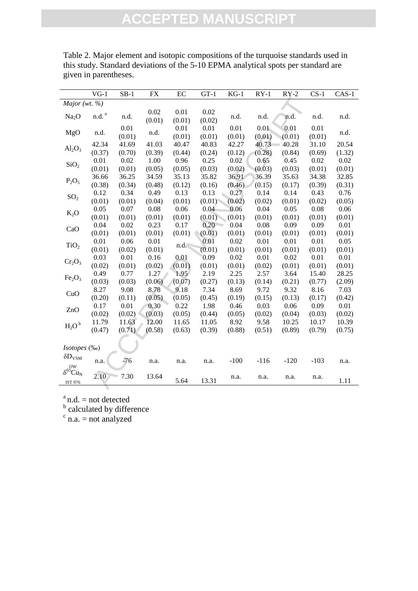|                                | $VG-1$                | $SB-1$ | FX     | EC     | $GT-1$ | $KG-1$   | $RY-1$   | $RY-2$ | $CS-1$ | $CAS-1$ |
|--------------------------------|-----------------------|--------|--------|--------|--------|----------|----------|--------|--------|---------|
| Major (wt. $%$                 |                       |        |        |        |        |          |          |        |        |         |
| Na <sub>2</sub> O              | $\rm{n.d.}$ $\rm{^a}$ | n.d.   | 0.02   | 0.01   | 0.02   | n.d.     | n.d.     | n.d.   | n.d.   | n.d.    |
|                                |                       |        | (0.01) | (0.01) | (0.02) |          |          |        |        |         |
| MgO                            | n.d.                  | 0.01   | n.d.   | 0.01   | 0.01   | $0.01\,$ | $0.01 -$ | 0.01   | 0.01   | n.d.    |
|                                |                       | (0.01) |        | (0.01) | (0.01) | (0.01)   | (0.01)   | (0.01) | (0.01) |         |
| $Al_2O_3$                      | 42.34                 | 41.69  | 41.03  | 40.47  | 40.83  | 42.27    | 40.73    | 40.28  | 31.10  | 20.54   |
|                                | (0.37)                | (0.70) | (0.39) | (0.44) | (0.24) | (0.12)   | (0.28)   | (0.84) | (0.69) | (1.32)  |
| SiO <sub>2</sub>               | 0.01                  | 0.02   | 1.00   | 0.96   | 0.25   | 0.02     | 0.65     | 0.45   | 0.02   | 0.02    |
|                                | (0.01)                | (0.01) | (0.05) | (0.05) | (0.03) | (0.02)   | (0.03)   | (0.03) | (0.01) | (0.01)  |
| $P_2O_5$                       | 36.66                 | 36.25  | 34.59  | 35.13  | 35.82  | 36.91    | 36.39    | 35.63  | 34.38  | 32.85   |
|                                | (0.38)                | (0.34) | (0.48) | (0.12) | (0.16) | (0.46)   | (0.15)   | (0.17) | (0.39) | (0.31)  |
| SO <sub>2</sub>                | 0.12                  | 0.34   | 0.49   | 0.13   | 0.13   | 0.27     | 0.14     | 0.14   | 0.43   | 0.76    |
|                                | (0.01)                | (0.01) | (0.04) | (0.01) | (0.01) | (0.02)   | (0.02)   | (0.01) | (0.02) | (0.05)  |
| $K_2O$                         | 0.05                  | 0.07   | 0.08   | 0.06   | 0.04   | 0.06     | 0.04     | 0.05   | 0.08   | 0.06    |
|                                | (0.01)                | (0.01) | (0.01) | (0.01) | (0.01) | (0.01)   | (0.01)   | (0.01) | (0.01) | (0.01)  |
| CaO                            | 0.04                  | 0.02   | 0.23   | 0.17   | 0.20   | 0.04     | 0.08     | 0.09   | 0.09   | 0.01    |
|                                | (0.01)                | (0.01) | (0.01) | (0.01) | (0.01) | (0.01)   | (0.01)   | (0.01) | (0.01) | (0.01)  |
| TiO <sub>2</sub>               | 0.01                  | 0.06   | 0.01   | n.d.   | 0.01   | 0.02     | 0.01     | 0.01   | 0.01   | 0.05    |
|                                | (0.01)                | (0.02) | (0.01) |        | (0.01) | (0.01)   | (0.01)   | (0.01) | (0.01) | (0.01)  |
|                                | 0.03                  | 0.01   | 0.16   | 0.01   | 0.09   | 0.02     | 0.01     | 0.02   | 0.01   | 0.01    |
| $Cr_2O_3$                      | (0.02)                | (0.01) | (0.02) | (0.01) | (0.01) | (0.01)   | (0.02)   | (0.01) | (0.01) | (0.01)  |
|                                | 0.49                  | 0.77   | 1.27   | 1.95   | 2.19   | 2.25     | 2.57     | 3.64   | 15.40  | 28.25   |
| Fe <sub>2</sub> O <sub>3</sub> | (0.03)                | (0.03) | (0.06) | (0.07) | (0.27) | (0.13)   | (0.14)   | (0.21) | (0.77) | (2.09)  |
|                                | 8.27                  | 9.08   | 8.78   | 9.18   | 7.34   | 8.69     | 9.72     | 9.32   | 8.16   | 7.03    |
| CuO                            | (0.20)                | (0.11) | (0.05) | (0.05) | (0.45) | (0.19)   | (0.15)   | (0.13) | (0.17) | (0.42)  |
|                                | 0.17                  | 0.01   | 0.30   | 0.22   | 1.98   | 0.46     | 0.03     | 0.06   | 0.09   | 0.01    |
| ZnO                            | (0.02)                | (0.02) | (0.03) | (0.05) | (0.44) | (0.05)   | (0.02)   | (0.04) | (0.03) | (0.02)  |
|                                | 11.79                 | 11.63  | 12.00  | 11.65  | 11.05  | 8.92     | 9.58     | 10.25  | 10.17  | 10.39   |
| $H_2O^b$                       | (0.47)                | (0.71) | (0.58) | (0.63) | (0.39) | (0.88)   | (0.51)   | (0.89) | (0.79) | (0.75)  |
|                                |                       |        |        |        |        |          |          |        |        |         |
| Isotopes (‰)                   |                       |        |        |        |        |          |          |        |        |         |
| $\delta D_{\rm VSM}$           |                       |        |        |        |        |          |          |        |        |         |
| OW                             | n.a.                  | $-76$  | n.a.   | n.a.   | n.a.   | $-100$   | $-116$   | $-120$ | $-103$ | n.a.    |
| $\delta^{65}Cu_N$              | 2.10                  |        |        |        |        |          |          |        |        |         |
| <b>IST 976</b>                 |                       | 7.30   | 13.64  | 5.64   | 13.31  | n.a.     | n.a.     | n.a.   | n.a.   | 1.11    |
|                                |                       |        |        |        |        |          |          |        |        |         |

Table 2. Major element and isotopic compositions of the turquoise standards used in this study. Standard deviations of the 5-10 EPMA analytical spots per standard are given in parentheses.

<sup>a</sup> n.d. = not detected<br>
<sup>b</sup> calculated by difference<br>
<sup>c</sup> n.a. = not analyzed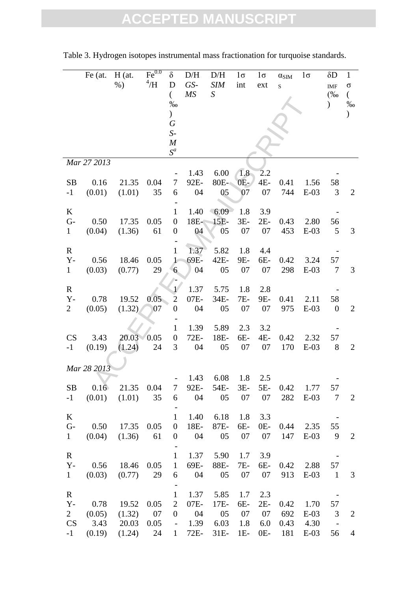|                                                     | $Fe$ (at.              | $H$ (at.<br>$%$ )        | Fe <sup>0.0</sup><br>4/H | $\delta$<br>D<br>$\left($<br>$\%$                                            | D/H<br>GS-<br>MS           | D/H<br><b>SIM</b><br>$\boldsymbol{S}$ | $1\sigma$<br>int        | $1\sigma$<br>ext          | $\alpha_{\rm SIM}$<br>$\mathbf S$ | $1\sigma$              | $\delta D$<br>$IMF$<br>$(\% 0)$<br>$\mathcal{C}$ | $\mathbf{1}$<br>σ<br>$\overline{(\ }$<br>$\%0$ |
|-----------------------------------------------------|------------------------|--------------------------|--------------------------|------------------------------------------------------------------------------|----------------------------|---------------------------------------|-------------------------|---------------------------|-----------------------------------|------------------------|--------------------------------------------------|------------------------------------------------|
|                                                     |                        |                          |                          | $\big)$<br>$\boldsymbol{G}$<br>$S-$<br>$\boldsymbol{M}$<br>$S^a$             |                            |                                       |                         |                           |                                   |                        |                                                  |                                                |
|                                                     | Mar 27 2013            |                          |                          |                                                                              |                            |                                       |                         |                           |                                   |                        |                                                  |                                                |
| SB<br>$-1$                                          | 0.16<br>(0.01)         | 21.35<br>(1.01)          | 0.04<br>35               | 7<br>6                                                                       | 1.43<br>92E-<br>04         | 6.00<br>80E-<br>05                    | 1.8<br>$0E-$<br>07      | 2.2<br>$4E-$<br>07        | 0.41<br>744                       | 1.56<br>$E-03$         | 58<br>3                                          | $\overline{2}$                                 |
| K<br>$G -$<br>$\mathbf{1}$                          | 0.50<br>(0.04)         | 17.35<br>(1.36)          | 0.05<br>61               | $\mathbf{1}$<br>$\boldsymbol{0}$<br>$\boldsymbol{0}$                         | 1.40<br>18E-<br>04         | 6.09<br>$15E-$<br>05                  | 1.8<br>$3E-$<br>07      | 3.9<br>$2E-$<br>07        | 0.43<br>453                       | 2.80<br>$E-03$         | 56<br>5                                          | 3                                              |
| $\mathbf R$<br>$Y -$<br>$\mathbf{1}$                | 0.56<br>(0.03)         | 18.46<br>(0.77)          | 0.05<br>29               | $\mathbf{1}$<br>$\mathbf 1$<br>$6 \overline{6}$                              | 1.37<br>69E-<br>04         | 5.82<br>42E-<br>05                    | 1.8<br>9E-<br>07        | 4.4<br>6E-<br>07          | 0.42<br>298                       | 3.24<br>$E-03$         | 57<br>7                                          | 3                                              |
| $\mathbf R$<br>$Y -$<br>$\overline{2}$              | 0.78<br>(0.05)         | 19.52<br>(1.32)          | 0.05<br>07               | 1/<br>$\overline{2}$<br>$\boldsymbol{0}$                                     | 1.37<br>07E-<br>04         | 5.75<br>34E-<br>05                    | 1.8<br>7E-<br>07        | 2.8<br>9E-<br>07          | 0.41<br>975                       | 2.11<br>$E-03$         | 58<br>$\boldsymbol{0}$                           | $\overline{2}$                                 |
| CS<br>$-1$                                          | 3.43<br>(0.19)         | 20.03<br>(1.24)          | 0.05<br>24               | $\mathbf{1}$<br>$\boldsymbol{0}$<br>3                                        | 1.39<br>72E-<br>04         | 5.89<br>18E-<br>05                    | 2.3<br>6E-<br>07        | 3.2<br>4E-<br>07          | 0.42<br>170                       | 2.32<br>$E-03$         | 57<br>8                                          | $\overline{2}$                                 |
|                                                     | Mar 28 2013            |                          |                          |                                                                              |                            |                                       |                         |                           |                                   |                        |                                                  |                                                |
| <b>SB</b><br>$-1$                                   | 0.16<br>(0.01)         | 21.35<br>(1.01)          | 0.04<br>35               | 7<br>6                                                                       | 1.43<br>92E-<br>04         | 6.08<br>54E-<br>05                    | 1.8<br>$3E-$<br>07      | 2.5<br>$5E-$<br>07        | 0.42<br>282                       | 1.77<br>$E-03$         | 57<br>7                                          | $\overline{2}$                                 |
| $\bf K$<br>$G-$<br>$\mathbf{1}$                     | 0.50<br>(0.04)         | 17.35<br>(1.36)          | 0.05<br>61               | $\mathbf{1}$<br>$\boldsymbol{0}$<br>$\boldsymbol{0}$                         | 1.40<br>18E-<br>04         | 6.18<br>87E-<br>05                    | 1.8<br>6E-<br>07        | 3.3<br>$0E-$<br>07        | 0.44<br>147                       | 2.35<br>$E-03$         | 55<br>9                                          | $\overline{2}$                                 |
| $\mathbf R$<br>$Y -$<br>$\mathbf{1}$                | 0.56<br>(0.03)         | 18.46<br>(0.77)          | 0.05<br>29               | $\mathbf{1}$<br>$\mathbf{1}$<br>6                                            | 1.37<br>69E-<br>04         | 5.90<br>88E-<br>05                    | 1.7<br>7E-<br>07        | 3.9<br>6E-<br>07          | 0.42<br>913                       | 2.88<br>$E-03$         | 57<br>$\mathbf{1}$                               | 3                                              |
| $\mathbf R$<br>$Y -$<br>$\overline{2}$<br><b>CS</b> | 0.78<br>(0.05)<br>3.43 | 19.52<br>(1.32)<br>20.03 | 0.05<br>07<br>0.05       | $\mathbf{1}$<br>$\overline{2}$<br>$\overline{0}$<br>$\overline{\phantom{a}}$ | 1.37<br>07E-<br>04<br>1.39 | 5.85<br>17E-<br>05<br>6.03            | 1.7<br>6E-<br>07<br>1.8 | 2.3<br>$2E-$<br>07<br>6.0 | 0.42<br>692<br>0.43               | 1.70<br>$E-03$<br>4.30 | 57<br>3                                          | $\overline{2}$                                 |
| $-1$                                                | (0.19)                 | (1.24)                   | 24                       | $\mathbf{1}$                                                                 | 72E-                       | 31E-                                  | $1E-$                   | $0E-$                     | 181                               | $E-03$                 | 56                                               | $\overline{4}$                                 |

Table 3. Hydrogen isotopes instrumental mass fractionation for turquoise standards.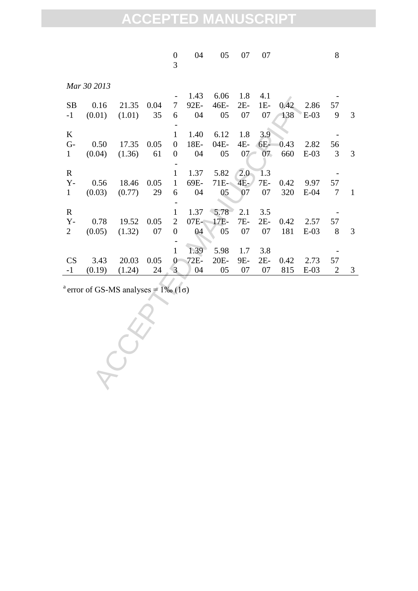|                   |                                                            |                 |            | $\boldsymbol{0}$<br>3 | 04                 | 05                 | 07                 | 07                 |             |                | 8                    |                |
|-------------------|------------------------------------------------------------|-----------------|------------|-----------------------|--------------------|--------------------|--------------------|--------------------|-------------|----------------|----------------------|----------------|
|                   | Mar 30 2013                                                |                 |            |                       |                    |                    |                    |                    |             |                |                      |                |
| SB<br>$-1$        | 0.16<br>(0.01)                                             | 21.35<br>(1.01) | 0.04<br>35 | 7<br>6                | 1.43<br>92E-<br>04 | 6.06<br>46E-<br>05 | 1.8<br>$2E-$<br>07 | 4.1<br>$1E-$<br>07 | 0.42<br>138 | 2.86<br>$E-03$ | 57<br>9              | 3              |
|                   |                                                            |                 |            |                       |                    |                    |                    |                    |             |                |                      |                |
| $\bf K$           |                                                            |                 |            | $\mathbf{1}$          | 1.40               | 6.12               | 1.8                | 3.9                |             |                |                      |                |
| $G-$              | 0.50                                                       | 17.35           | 0.05       | $\boldsymbol{0}$      | 18E-               | 04E-               | 4E-                | 6E-                | 0.43        | 2.82           | 56                   |                |
| $\mathbf{1}$      | (0.04)                                                     | (1.36)          | 61         | $\boldsymbol{0}$      | 04                 | 05                 | 07                 | 07                 | 660         | $E-03$         | 3                    | 3              |
| $\mathbf R$       |                                                            |                 |            | $\mathbf{1}$          | 1.37               | 5.82               | 2.0                | 1.3                |             |                |                      |                |
| $Y -$             | 0.56                                                       | 18.46           | 0.05       | $\mathbf{1}$          | 69E-               | 71E-               | 4E-                | 7E-                | 0.42        | 9.97           | 57                   |                |
| $\mathbf{1}$      | (0.03)                                                     | (0.77)          | 29         | 6                     | 04                 | 05                 | 07                 | 07                 | 320         | $E-04$         | 7                    | $\mathbf 1$    |
| $\mathbf R$       |                                                            |                 |            | $\mathbf 1$           | 1.37               | 5.78               | 2.1                | 3.5                |             |                |                      |                |
| $Y -$             | 0.78                                                       | 19.52           | 0.05       | $\mathbf{2}$          | 07E-               | 17E-               | 7E-                | $2E-$              | 0.42        | 2.57           | 57                   |                |
| $\overline{2}$    | (0.05)                                                     | (1.32)          | 07         | $\boldsymbol{0}$      | 04                 | 05                 | 07                 | 07                 | 181         | $E-03$         | $8\,$                | 3              |
|                   |                                                            |                 |            |                       |                    |                    |                    |                    |             |                |                      |                |
|                   |                                                            |                 |            | $\mathbf{1}$          | 1.39               | 5.98               | 1.7                | 3.8                |             |                |                      |                |
| <b>CS</b><br>$-1$ | 3.43<br>(0.19)                                             | 20.03<br>(1.24) | 0.05<br>24 | $\theta$<br>3         | 72E-<br>04         | 20E-<br>05         | 9E-<br>07          | $2E-$<br>07        | 0.42<br>815 | 2.73<br>$E-03$ | 57<br>$\overline{2}$ | $\mathfrak{Z}$ |
|                   |                                                            |                 |            |                       |                    |                    |                    |                    |             |                |                      |                |
|                   | <sup>a</sup> error of GS-MS analyses = $1\%$ (1 $\sigma$ ) |                 |            |                       |                    |                    |                    |                    |             |                |                      |                |
|                   |                                                            |                 |            |                       |                    |                    |                    |                    |             |                |                      |                |
|                   |                                                            |                 |            |                       |                    |                    |                    |                    |             |                |                      |                |
|                   |                                                            |                 |            |                       |                    |                    |                    |                    |             |                |                      |                |
|                   |                                                            |                 |            |                       |                    |                    |                    |                    |             |                |                      |                |
|                   |                                                            |                 |            |                       |                    |                    |                    |                    |             |                |                      |                |
|                   |                                                            |                 |            |                       |                    |                    |                    |                    |             |                |                      |                |
|                   |                                                            |                 |            |                       |                    |                    |                    |                    |             |                |                      |                |
|                   |                                                            |                 |            |                       |                    |                    |                    |                    |             |                |                      |                |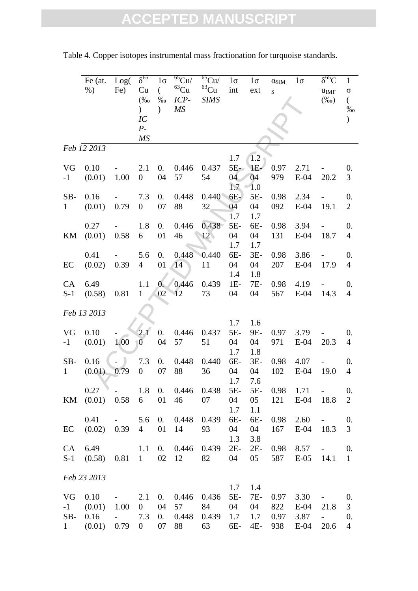|              | $Fe$ (at.         | Log(                                                                                | $\delta^{65}$    | $1\sigma$              | $\overline{^{65}\text{Cu}}$ | $65$ Cu/       | $1\sigma$    | $1\sigma$    | $\alpha_{\rm SIM}$ | $1\sigma$ | $\delta^{65}C$      | $\mathbf{1}$     |
|--------------|-------------------|-------------------------------------------------------------------------------------|------------------|------------------------|-----------------------------|----------------|--------------|--------------|--------------------|-----------|---------------------|------------------|
|              | $%$ )             | Fe)                                                                                 | Cu               | $\left($               | $^{63}\mathrm{Cu}$          | ${}^{63}Cu$    | int          | ext          | $\mathbf S$        |           | $u_{IMF}$           | σ                |
|              |                   |                                                                                     | $(\% 0)$         | $\%$                   | $ICP-$                      | <b>SIMS</b>    |              |              |                    |           | $(\%0)$             | $\left($         |
|              |                   |                                                                                     | $\mathcal{L}$    | $\mathcal{E}$          | <b>MS</b>                   |                |              |              |                    |           |                     | $\%$             |
|              |                   |                                                                                     | IC               |                        |                             |                |              |              |                    |           |                     |                  |
|              |                   |                                                                                     | $P-$             |                        |                             |                |              |              |                    |           |                     |                  |
|              |                   |                                                                                     | MS               |                        |                             |                |              |              |                    |           |                     |                  |
|              | Feb 12 2013       |                                                                                     |                  |                        |                             |                |              |              |                    |           |                     |                  |
|              |                   |                                                                                     |                  |                        |                             |                | 1.7          | $1.2 \times$ |                    |           |                     |                  |
| VG           | 0.10              |                                                                                     | 2.1              | $\overline{0}$ .       | 0.446                       | 0.437          | $5E-$        | IE-          | 0.97               | 2.71      |                     | $\overline{0}$ . |
| $-1$         | (0.01)            | 1.00                                                                                | $\boldsymbol{0}$ | 04                     | 57                          | 54             | 04           | 04           | 979                | $E-04$    | 20.2                | 3                |
|              |                   |                                                                                     |                  |                        |                             |                | 1.7          | 1.0          |                    |           |                     |                  |
| SB-          | 0.16              |                                                                                     | 7.3              | $\overline{0}$ .       | 0.448                       | 0.440          | $6E-$        | 5E-          | 0.98               | 2.34      |                     | 0.               |
| $\mathbf{1}$ | (0.01)            | 0.79                                                                                | $\boldsymbol{0}$ | 07                     | 88                          | 32             | 04           | 04           | 092                | $E-04$    | 19.1                | $\overline{2}$   |
|              |                   |                                                                                     | 1.8              |                        |                             |                | 1.7          | 1.7          |                    |           |                     |                  |
|              | 0.27              |                                                                                     |                  | $\overline{0}$ .<br>01 | 0.446                       | 0.438          | $5E-$        | 6E-          | 0.98               | 3.94      |                     | 0.               |
| KM           | (0.01)            | 0.58                                                                                | 6                |                        | 46                          | $12\backslash$ | 04<br>1.7    | 04<br>1.7    | 131                | $E-04$    | 18.7                | $\overline{4}$   |
|              | 0.41              |                                                                                     | 5.6              | $\overline{0}$ .       | 0.448                       | 0.440          | 6E-          | $3E-$        | 0.98               | 3.86      |                     | 0.               |
| EC           | (0.02)            | 0.39                                                                                | $\overline{4}$   | 01                     | 14                          | 11             | 04           | 04           | 207                | $E-04$    | 17.9                | $\overline{4}$   |
|              |                   |                                                                                     |                  |                        |                             |                | 1.4          | 1.8          |                    |           |                     |                  |
| CA           | 6.49              |                                                                                     | 1.1              | $\overline{0}$ .       | 0.446                       | 0.439          | $1E-$        | 7E-          | 0.98               | 4.19      |                     | $\overline{0}$ . |
| $S-1$        | (0.58)            | 0.81                                                                                | $\mathbf{1}$     | 02                     | 12                          | 73             | 04           | 04           | 567                | $E-04$    | 14.3                | $\overline{4}$   |
|              |                   |                                                                                     |                  |                        |                             |                |              |              |                    |           |                     |                  |
|              | Feb 13 2013       |                                                                                     |                  |                        |                             |                |              |              |                    |           |                     |                  |
|              |                   |                                                                                     |                  |                        |                             |                | 1.7          | 1.6          |                    |           |                     |                  |
| VG           | 0.10              |                                                                                     | 2.1              | $\overline{0}$ .       | 0.446                       | 0.437          | $5E-$        | 9E-          | 0.97               | 3.79      |                     | $\overline{0}$ . |
| $-1$         | (0.01)            | 1.00                                                                                | $\overline{0}$   | 04                     | 57                          | 51             | 04           | 04           | 971                | $E-04$    | 20.3                | $\overline{4}$   |
|              |                   |                                                                                     |                  |                        |                             |                | 1.7          | 1.8          |                    |           |                     |                  |
| SB-          | 0.16              |                                                                                     | 7.3              | 0.                     | 0.448                       | 0.440          | 6E-          | $3E-$        | 0.98               | 4.07      |                     | 0.               |
| $\mathbf{1}$ | (0.01)            | 0.79                                                                                | $\boldsymbol{0}$ | 07                     | 88                          | 36             | 04           | 04           | 102                | $E-04$    | 19.0                | $\overline{4}$   |
|              |                   |                                                                                     |                  |                        |                             |                | 1.7          | 7.6          |                    |           |                     |                  |
|              | $0.27 - 1.8$      |                                                                                     |                  | 0.                     | 0.446                       | 0.438          | $5E-$        | 5E-          | 0.98               | 1.71      | $\omega_{\rm{max}}$ | $\overline{0}$ . |
|              | KM (0.01) 0.58    |                                                                                     | 6                | 01                     | 46                          | 07             | 04           | $05\,$       | 121                | $E-04$    | 18.8                | $\overline{2}$   |
|              |                   |                                                                                     |                  |                        |                             |                | 1.7          | 1.1          |                    |           |                     |                  |
|              | 0.41              | $\frac{1}{2}$ and $\frac{1}{2}$ .                                                   | 5.6              | 0.                     | 0.448                       | 0.439          | 6E-          | 6E-          | 0.98               | 2.60      | $\sim 100$          | 0.               |
| EC           | $(0.02)$ 0.39     |                                                                                     | $4 \quad$        | 01                     | 14                          | 93             | 04           | 04           | 167                | $E-04$    | 18.3                | 3                |
| CA           | 6.49 1.1          |                                                                                     |                  | 0.                     | 0.446                       | 0.439          | 1.3<br>$2E-$ | 3.8<br>$2E-$ | 0.98               | 8.57      |                     | 0.               |
|              | $S-1$ (0.58) 0.81 |                                                                                     | $\sim 1$         | 02                     | 12                          | 82             | 04           | 05           | 587                | $E-05$    | $\sim 100$<br>14.1  | $\mathbf{1}$     |
|              |                   |                                                                                     |                  |                        |                             |                |              |              |                    |           |                     |                  |
|              | Feb 23 2013       |                                                                                     |                  |                        |                             |                |              |              |                    |           |                     |                  |
|              |                   |                                                                                     |                  |                        |                             |                | 1.7          | 1.4          |                    |           |                     |                  |
| VG           | $0.10 -$          |                                                                                     | 2.1              | 0.                     |                             | 0.446 0.436    | $5E-$        | 7E-          | 0.97               | 3.30      | $\sim$ 100 $\mu$    | 0.               |
| $-1$         | $(0.01)$ 1.00     |                                                                                     | $\boldsymbol{0}$ | 04                     | 57                          | 84             | 04           | 04           | 822                | $E-04$    | 21.8                | 3                |
| SB-          | 0.16              | $\frac{1}{2} \left( \frac{1}{2} \right)$ , $\frac{1}{2} \left( \frac{1}{2} \right)$ | 7.3              | 0.                     | 0.448                       | 0.439          | 1.7          | 1.7          | 0.97               | 3.87      | $\pm$               | 0.               |
| 1            | (0.01)            | 0.79                                                                                | $\boldsymbol{0}$ | 07                     | 88                          | 63             | 6E-          | 4E-          | 938                | $E-04$    | 20.6                | $\overline{4}$   |

Table 4. Copper isotopes instrumental mass fractionation for turquoise standards.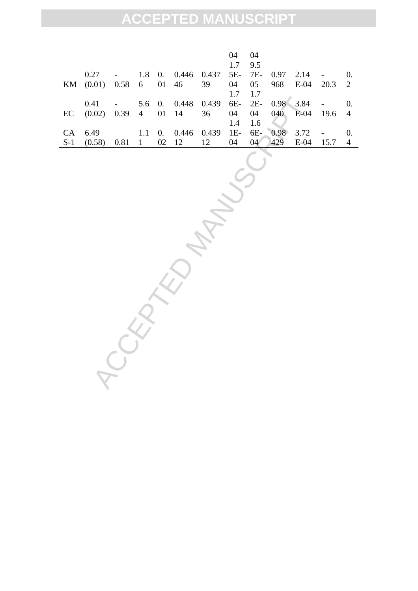|       |                                          |  |                 |                                        | 04  | - 04            |      |          |        |                |
|-------|------------------------------------------|--|-----------------|----------------------------------------|-----|-----------------|------|----------|--------|----------------|
|       |                                          |  |                 |                                        | 1.7 | 9.5             |      |          |        |                |
|       | 0.27                                     |  |                 | 1.8 0. 0.446 0.437 5E- 7E- 0.97        |     |                 |      | $2.14 -$ |        |                |
|       | KM (0.01) 0.58 6 01 46 39 04 05 968 E-04 |  |                 |                                        |     |                 |      |          | 20.3 2 |                |
|       |                                          |  |                 |                                        | 1.7 | 1.7             |      |          |        |                |
|       | 0.41                                     |  |                 | 5.6 0. 0.448 0.439 6E- 2E- 0.98 3.84 - |     |                 |      |          |        |                |
| EC    | $(0.02)$ 0.39 4 01 14 36 04 04 040 E-04  |  |                 |                                        |     |                 |      |          | 19.6 4 |                |
|       |                                          |  |                 |                                        | 1.4 | 1.6             |      |          |        |                |
|       | CA 6.49                                  |  |                 | 1.1 0. $0.446$ 0.439 1E- 6E-           |     |                 | 0.98 | 3.72     |        |                |
| $S-1$ | (0.58)                                   |  | 0.81 1 02 12 12 |                                        | 04  | 04 <sup>7</sup> | 429  | E-04     | 15.7   | $\overline{4}$ |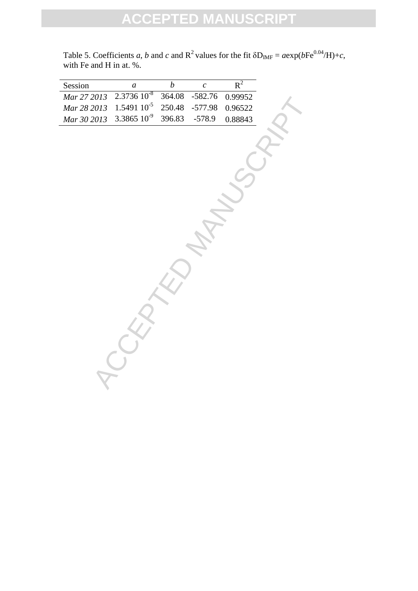| Session     | $\boldsymbol{a}$ | $\overline{b}$ | $\mathcal{C}$ | $R^2$   |
|-------------|------------------|----------------|---------------|---------|
| Mar 27 2013 | $2.373610^{8}$   | 364.08         | $-582.76$     | 0.99952 |
| Mar 28 2013 | $1.549110^{-5}$  | 250.48         | $-577.98$     | 0.96522 |
| Mar 30 2013 | $3.3865~10^{-9}$ | 396.83         | $-578.9$      | 0.88843 |
|             |                  |                |               |         |
|             |                  |                |               |         |
|             |                  |                |               |         |
|             |                  |                |               |         |
|             |                  |                |               |         |
|             |                  |                |               |         |
|             |                  |                |               |         |
|             |                  |                |               |         |
|             |                  |                |               |         |
|             |                  |                |               |         |
|             |                  |                |               |         |
|             |                  |                |               |         |
|             |                  |                |               |         |
|             |                  |                |               |         |
|             |                  |                |               |         |
|             |                  |                |               |         |
|             |                  |                |               |         |
|             |                  |                |               |         |
|             |                  |                |               |         |
|             |                  |                |               |         |
|             |                  |                |               |         |
|             |                  |                |               |         |
|             |                  |                |               |         |

Table 5. Coefficients *a*, *b* and *c* and  $R^2$  values for the fit  $\delta D_{IMF} = a \exp(bFe^{0.04}/H) + c$ , with Fe and H in at. %.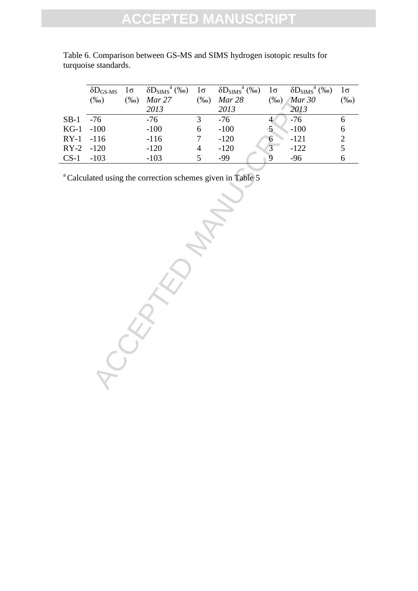|             | $\delta D_{\rm GS\text{-}MS}$ | $1\sigma$ | $\delta D_{\rm SIMS}^{\rm a}$ (%o) | $1\sigma$ | $\delta D_{\rm SIMS}^{\rm a}$ (%o) | $1\sigma$      | $\delta D_{\rm SIMS}^{\rm a}$ (%) | 1σ      |
|-------------|-------------------------------|-----------|------------------------------------|-----------|------------------------------------|----------------|-----------------------------------|---------|
|             | $(\%0)$                       | $(\%0)$   | Mar 27                             | $(\%0)$   | Mar 28                             | $\frac{9}{00}$ | Mar 30                            | $(\%0)$ |
|             |                               |           | 2013                               |           | 2013                               |                | 2013                              |         |
| $SB-1$      | $-76$                         |           | -76                                | 3         | $-76$                              |                | $-76$                             | h       |
| $KG-1 -100$ |                               |           | $-100$                             | 6         | $-100$                             |                | $-100$                            | 6       |
| $RY-1$      | $-116$                        |           | $-116$                             |           | $-120$                             | h              | $-121$                            |         |
| $RY-2$      | $-120$                        |           | $-120$                             | 4         | $-120$                             |                | $-122$                            |         |
| $CS-1$      | $-103$                        |           | $-103$                             |           | $-99$                              | Q              | -96                               | 6       |
|             |                               |           |                                    |           |                                    |                |                                   |         |

Table 6. Comparison between GS-MS and SIMS hydrogen isotopic results for turquoise standards.

<sup>a</sup> Calculated using the correction schemes given in Table 5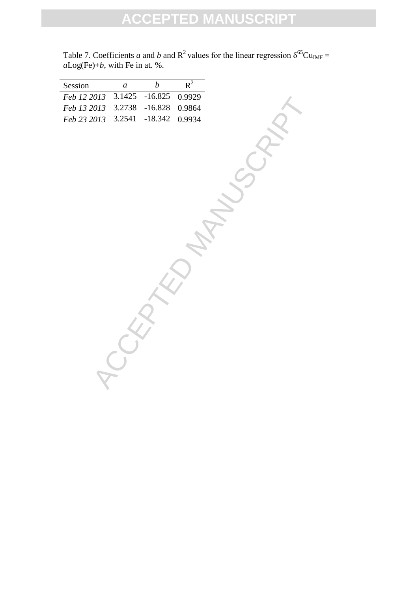| Session     | $\boldsymbol{a}$ | $\boldsymbol{b}$ | $R^2$  |
|-------------|------------------|------------------|--------|
| Feb 12 2013 | 3.1425           | $-16.825$        | 0.9929 |
| Feb 13 2013 | 3.2738           | $-16.828$        | 0.9864 |
| Feb 23 2013 | 3.2541           | $-18.342$        | 0.9934 |
|             |                  |                  |        |
|             |                  |                  |        |
|             |                  |                  |        |
|             |                  |                  |        |
|             |                  |                  |        |
|             |                  |                  |        |
|             |                  |                  |        |
|             |                  |                  |        |
|             |                  |                  |        |
|             |                  |                  |        |
|             |                  |                  |        |
|             |                  |                  |        |
|             |                  |                  |        |
|             |                  |                  |        |
|             |                  |                  |        |
|             |                  |                  |        |
|             |                  |                  |        |
|             |                  |                  |        |
|             |                  |                  |        |
|             |                  |                  |        |
|             |                  |                  |        |
|             |                  |                  |        |
|             |                  |                  |        |
|             |                  |                  |        |
|             |                  |                  |        |
|             |                  |                  |        |
|             |                  |                  |        |

Table 7. Coefficients *a* and *b* and  $R^2$  values for the linear regression  $\delta^{65}Cu_{IMF} =$ *a*Log(Fe)+*b*, with Fe in at. %.